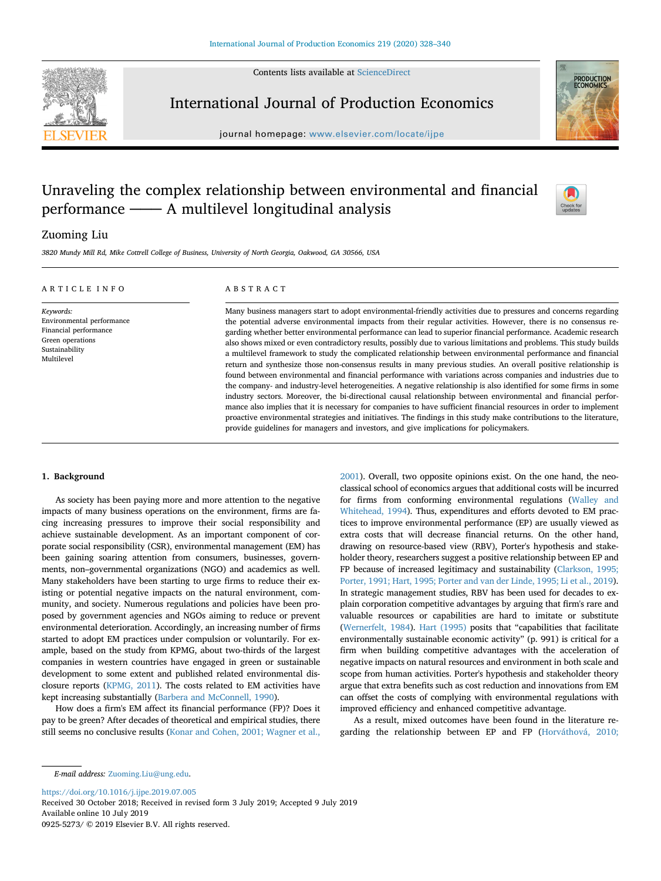Contents lists available at [ScienceDirect](http://www.sciencedirect.com/science/journal/09255273)



International Journal of Production Economics

journal homepage: [www.elsevier.com/locate/ijpe](https://www.elsevier.com/locate/ijpe)

# Unraveling the complex relationship between environmental and financial performance ─── A multilevel longitudinal analysis



**PRODUCTION**<br>ECONOMICS

## Zuoming Liu

*3820 Mundy Mill Rd, Mike Cottrell College of Business, University of North Georgia, Oakwood, GA 30566, USA*

## ARTICLE INFO

## ABSTRACT

*Keywords:* Environmental performance Financial performance Green operations Sustainability Multilevel

Many business managers start to adopt environmental-friendly activities due to pressures and concerns regarding the potential adverse environmental impacts from their regular activities. However, there is no consensus regarding whether better environmental performance can lead to superior financial performance. Academic research also shows mixed or even contradictory results, possibly due to various limitations and problems. This study builds a multilevel framework to study the complicated relationship between environmental performance and financial return and synthesize those non-consensus results in many previous studies. An overall positive relationship is found between environmental and financial performance with variations across companies and industries due to the company- and industry-level heterogeneities. A negative relationship is also identified for some firms in some industry sectors. Moreover, the bi-directional causal relationship between environmental and financial performance also implies that it is necessary for companies to have sufficient financial resources in order to implement proactive environmental strategies and initiatives. The findings in this study make contributions to the literature, provide guidelines for managers and investors, and give implications for policymakers.

## **1. Background**

As society has been paying more and more attention to the negative impacts of many business operations on the environment, firms are facing increasing pressures to improve their social responsibility and achieve sustainable development. As an important component of corporate social responsibility (CSR), environmental management (EM) has been gaining soaring attention from consumers, businesses, governments, non–governmental organizations (NGO) and academics as well. Many stakeholders have been starting to urge firms to reduce their existing or potential negative impacts on the natural environment, community, and society. Numerous regulations and policies have been proposed by government agencies and NGOs aiming to reduce or prevent environmental deterioration. Accordingly, an increasing number of firms started to adopt EM practices under compulsion or voluntarily. For example, based on the study from KPMG, about two-thirds of the largest companies in western countries have engaged in green or sustainable development to some extent and published related environmental disclosure reports [\(KPMG, 2011\)](#page-11-0). The costs related to EM activities have kept increasing substantially [\(Barbera and McConnell, 1990\)](#page-11-1).

How does a firm's EM affect its financial performance (FP)? Does it pay to be green? After decades of theoretical and empirical studies, there still seems no conclusive results [\(Konar and Cohen, 2001; Wagner et al.,](#page-11-2) [2001](#page-11-2)). Overall, two opposite opinions exist. On the one hand, the neoclassical school of economics argues that additional costs will be incurred for firms from conforming environmental regulations [\(Walley and](#page-12-0) [Whitehead, 1994\)](#page-12-0). Thus, expenditures and efforts devoted to EM practices to improve environmental performance (EP) are usually viewed as extra costs that will decrease financial returns. On the other hand, drawing on resource-based view (RBV), Porter's hypothesis and stakeholder theory, researchers suggest a positive relationship between EP and FP because of increased legitimacy and sustainability [\(Clarkson, 1995;](#page-11-3) [Porter, 1991; Hart, 1995; Porter and van der Linde, 1995; Li et al., 2019\)](#page-11-3). In strategic management studies, RBV has been used for decades to explain corporation competitive advantages by arguing that firm's rare and valuable resources or capabilities are hard to imitate or substitute ([Wernerfelt, 1984\)](#page-12-1). [Hart \(1995\)](#page-11-4) posits that "capabilities that facilitate environmentally sustainable economic activity" (p. 991) is critical for a firm when building competitive advantages with the acceleration of negative impacts on natural resources and environment in both scale and scope from human activities. Porter's hypothesis and stakeholder theory argue that extra benefits such as cost reduction and innovations from EM can offset the costs of complying with environmental regulations with improved efficiency and enhanced competitive advantage.

As a result, mixed outcomes have been found in the literature regarding the relationship between EP and FP [\(Horváthová, 2010;](#page-11-5)

*E-mail address:* [Zuoming.Liu@ung.edu](mailto:Zuoming.Liu@ung.edu).

<https://doi.org/10.1016/j.ijpe.2019.07.005> Received 30 October 2018; Received in revised form 3 July 2019; Accepted 9 July 2019 Available online 10 July 2019 0925-5273/ © 2019 Elsevier B.V. All rights reserved.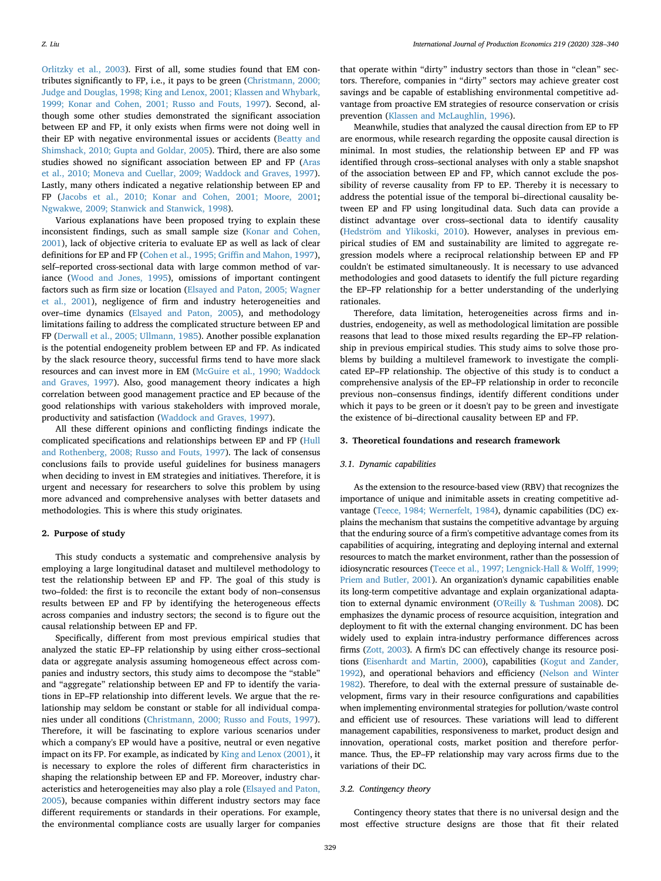[Orlitzky et al., 2003\)](#page-11-5). First of all, some studies found that EM contributes significantly to FP, i.e., it pays to be green ([Christmann, 2000;](#page-11-6) [Judge and Douglas, 1998; King and Lenox, 2001; Klassen and Whybark,](#page-11-6) [1999; Konar and Cohen, 2001; Russo and Fouts, 1997\)](#page-11-6). Second, although some other studies demonstrated the significant association between EP and FP, it only exists when firms were not doing well in their EP with negative environmental issues or accidents ([Beatty and](#page-11-7) [Shimshack, 2010; Gupta and Goldar, 2005](#page-11-7)). Third, there are also some studies showed no significant association between EP and FP ([Aras](#page-11-8) [et al., 2010; Moneva and Cuellar, 2009; Waddock and Graves, 1997](#page-11-8)). Lastly, many others indicated a negative relationship between EP and FP ([Jacobs et al., 2010; Konar and Cohen, 2001; Moore, 2001](#page-11-9); [Ngwakwe, 2009; Stanwick and Stanwick, 1998](#page-12-2)).

Various explanations have been proposed trying to explain these inconsistent findings, such as small sample size ([Konar and Cohen,](#page-11-2) [2001\)](#page-11-2), lack of objective criteria to evaluate EP as well as lack of clear definitions for EP and FP [\(Cohen et al., 1995; Griffin and Mahon, 1997](#page-11-10)), self–reported cross-sectional data with large common method of variance ([Wood and Jones, 1995](#page-12-3)), omissions of important contingent factors such as firm size or location ([Elsayed and Paton, 2005; Wagner](#page-11-11) [et al., 2001](#page-11-11)), negligence of firm and industry heterogeneities and over–time dynamics [\(Elsayed and Paton, 2005](#page-11-11)), and methodology limitations failing to address the complicated structure between EP and FP ([Derwall et al., 2005; Ullmann, 1985\)](#page-11-12). Another possible explanation is the potential endogeneity problem between EP and FP. As indicated by the slack resource theory, successful firms tend to have more slack resources and can invest more in EM ([McGuire et al., 1990; Waddock](#page-11-13) [and Graves, 1997\)](#page-11-13). Also, good management theory indicates a high correlation between good management practice and EP because of the good relationships with various stakeholders with improved morale, productivity and satisfaction ([Waddock and Graves, 1997\)](#page-12-4).

All these different opinions and conflicting findings indicate the complicated specifications and relationships between EP and FP [\(Hull](#page-11-14) [and Rothenberg, 2008; Russo and Fouts, 1997\)](#page-11-14). The lack of consensus conclusions fails to provide useful guidelines for business managers when deciding to invest in EM strategies and initiatives. Therefore, it is urgent and necessary for researchers to solve this problem by using more advanced and comprehensive analyses with better datasets and methodologies. This is where this study originates.

#### **2. Purpose of study**

This study conducts a systematic and comprehensive analysis by employing a large longitudinal dataset and multilevel methodology to test the relationship between EP and FP. The goal of this study is two–folded: the first is to reconcile the extant body of non–consensus results between EP and FP by identifying the heterogeneous effects across companies and industry sectors; the second is to figure out the causal relationship between EP and FP.

Specifically, different from most previous empirical studies that analyzed the static EP–FP relationship by using either cross–sectional data or aggregate analysis assuming homogeneous effect across companies and industry sectors, this study aims to decompose the "stable" and "aggregate" relationship between EP and FP to identify the variations in EP–FP relationship into different levels. We argue that the relationship may seldom be constant or stable for all individual companies under all conditions ([Christmann, 2000; Russo and Fouts, 1997](#page-11-6)). Therefore, it will be fascinating to explore various scenarios under which a company's EP would have a positive, neutral or even negative impact on its FP. For example, as indicated by [King and Lenox \(2001\)](#page-11-15), it is necessary to explore the roles of different firm characteristics in shaping the relationship between EP and FP. Moreover, industry characteristics and heterogeneities may also play a role ([Elsayed and Paton,](#page-11-11) [2005\)](#page-11-11), because companies within different industry sectors may face different requirements or standards in their operations. For example, the environmental compliance costs are usually larger for companies

that operate within "dirty" industry sectors than those in "clean" sectors. Therefore, companies in "dirty" sectors may achieve greater cost savings and be capable of establishing environmental competitive advantage from proactive EM strategies of resource conservation or crisis prevention [\(Klassen and McLaughlin, 1996](#page-11-16)).

Meanwhile, studies that analyzed the causal direction from EP to FP are enormous, while research regarding the opposite causal direction is minimal. In most studies, the relationship between EP and FP was identified through cross–sectional analyses with only a stable snapshot of the association between EP and FP, which cannot exclude the possibility of reverse causality from FP to EP. Thereby it is necessary to address the potential issue of the temporal bi–directional causality between EP and FP using longitudinal data. Such data can provide a distinct advantage over cross–sectional data to identify causality ([Hedström and Ylikoski, 2010\)](#page-11-17). However, analyses in previous empirical studies of EM and sustainability are limited to aggregate regression models where a reciprocal relationship between EP and FP couldn't be estimated simultaneously. It is necessary to use advanced methodologies and good datasets to identify the full picture regarding the EP–FP relationship for a better understanding of the underlying rationales.

Therefore, data limitation, heterogeneities across firms and industries, endogeneity, as well as methodological limitation are possible reasons that lead to those mixed results regarding the EP–FP relationship in previous empirical studies. This study aims to solve those problems by building a multilevel framework to investigate the complicated EP–FP relationship. The objective of this study is to conduct a comprehensive analysis of the EP–FP relationship in order to reconcile previous non–consensus findings, identify different conditions under which it pays to be green or it doesn't pay to be green and investigate the existence of bi–directional causality between EP and FP.

#### **3. Theoretical foundations and research framework**

## *3.1. Dynamic capabilities*

As the extension to the resource-based view (RBV) that recognizes the importance of unique and inimitable assets in creating competitive advantage [\(Teece, 1984; Wernerfelt, 1984](#page-12-5)), dynamic capabilities (DC) explains the mechanism that sustains the competitive advantage by arguing that the enduring source of a firm's competitive advantage comes from its capabilities of acquiring, integrating and deploying internal and external resources to match the market environment, rather than the possession of idiosyncratic resources ([Teece et al., 1997; Lengnick-Hall & Wolff, 1999;](#page-12-6) [Priem and Butler, 2001](#page-12-6)). An organization's dynamic capabilities enable its long-term competitive advantage and explain organizational adaptation to external dynamic environment ([O'Reilly & Tushman 2008\)](#page-12-7). DC emphasizes the dynamic process of resource acquisition, integration and deployment to fit with the external changing environment. DC has been widely used to explain intra-industry performance differences across firms [\(Zott, 2003\)](#page-12-8). A firm's DC can effectively change its resource positions [\(Eisenhardt and Martin, 2000\)](#page-11-18), capabilities [\(Kogut and Zander,](#page-11-19) [1992](#page-11-19)), and operational behaviors and efficiency [\(Nelson and Winter](#page-12-9) [1982](#page-12-9)). Therefore, to deal with the external pressure of sustainable development, firms vary in their resource configurations and capabilities when implementing environmental strategies for pollution/waste control and efficient use of resources. These variations will lead to different management capabilities, responsiveness to market, product design and innovation, operational costs, market position and therefore performance. Thus, the EP–FP relationship may vary across firms due to the variations of their DC.

#### *3.2. Contingency theory*

Contingency theory states that there is no universal design and the most effective structure designs are those that fit their related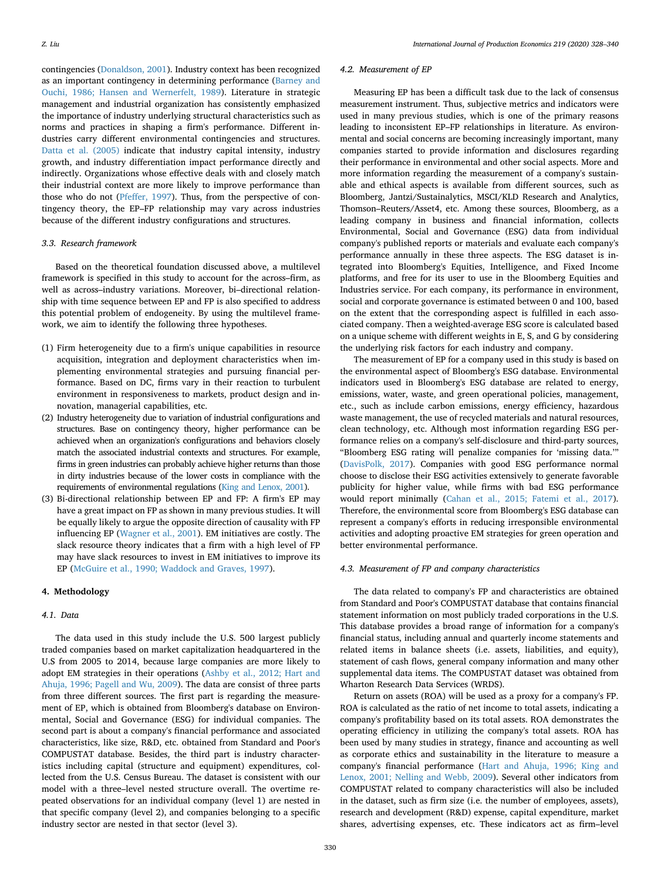contingencies ([Donaldson, 2001](#page-11-20)). Industry context has been recognized as an important contingency in determining performance [\(Barney and](#page-11-21) [Ouchi, 1986; Hansen and Wernerfelt, 1989](#page-11-21)). Literature in strategic management and industrial organization has consistently emphasized the importance of industry underlying structural characteristics such as norms and practices in shaping a firm's performance. Different industries carry different environmental contingencies and structures. [Datta et al. \(2005\)](#page-11-22) indicate that industry capital intensity, industry growth, and industry differentiation impact performance directly and indirectly. Organizations whose effective deals with and closely match their industrial context are more likely to improve performance than those who do not ([Pfeffer, 1997\)](#page-12-10). Thus, from the perspective of contingency theory, the EP–FP relationship may vary across industries because of the different industry configurations and structures.

## *3.3. Research framework*

Based on the theoretical foundation discussed above, a multilevel framework is specified in this study to account for the across–firm, as well as across–industry variations. Moreover, bi–directional relationship with time sequence between EP and FP is also specified to address this potential problem of endogeneity. By using the multilevel framework, we aim to identify the following three hypotheses.

- (1) Firm heterogeneity due to a firm's unique capabilities in resource acquisition, integration and deployment characteristics when implementing environmental strategies and pursuing financial performance. Based on DC, firms vary in their reaction to turbulent environment in responsiveness to markets, product design and innovation, managerial capabilities, etc.
- (2) Industry heterogeneity due to variation of industrial configurations and structures. Base on contingency theory, higher performance can be achieved when an organization's configurations and behaviors closely match the associated industrial contexts and structures. For example, firms in green industries can probably achieve higher returns than those in dirty industries because of the lower costs in compliance with the requirements of environmental regulations [\(King and Lenox, 2001](#page-11-15)).
- (3) Bi-directional relationship between EP and FP: A firm's EP may have a great impact on FP as shown in many previous studies. It will be equally likely to argue the opposite direction of causality with FP influencing EP [\(Wagner et al., 2001\)](#page-12-11). EM initiatives are costly. The slack resource theory indicates that a firm with a high level of FP may have slack resources to invest in EM initiatives to improve its EP [\(McGuire et al., 1990; Waddock and Graves, 1997\)](#page-11-13).

## **4. Methodology**

#### *4.1. Data*

The data used in this study include the U.S. 500 largest publicly traded companies based on market capitalization headquartered in the U.S from 2005 to 2014, because large companies are more likely to adopt EM strategies in their operations ([Ashby et al., 2012; Hart and](#page-11-23) [Ahuja, 1996; Pagell and Wu, 2009\)](#page-11-23). The data are consist of three parts from three different sources. The first part is regarding the measurement of EP, which is obtained from Bloomberg's database on Environmental, Social and Governance (ESG) for individual companies. The second part is about a company's financial performance and associated characteristics, like size, R&D, etc. obtained from Standard and Poor's COMPUSTAT database. Besides, the third part is industry characteristics including capital (structure and equipment) expenditures, collected from the U.S. Census Bureau. The dataset is consistent with our model with a three–level nested structure overall. The overtime repeated observations for an individual company (level 1) are nested in that specific company (level 2), and companies belonging to a specific industry sector are nested in that sector (level 3).

#### *4.2. Measurement of EP*

Measuring EP has been a difficult task due to the lack of consensus measurement instrument. Thus, subjective metrics and indicators were used in many previous studies, which is one of the primary reasons leading to inconsistent EP–FP relationships in literature. As environmental and social concerns are becoming increasingly important, many companies started to provide information and disclosures regarding their performance in environmental and other social aspects. More and more information regarding the measurement of a company's sustainable and ethical aspects is available from different sources, such as Bloomberg, Jantzi/Sustainalytics, MSCI/KLD Research and Analytics, Thomson–Reuters/Asset4, etc. Among these sources, Bloomberg, as a leading company in business and financial information, collects Environmental, Social and Governance (ESG) data from individual company's published reports or materials and evaluate each company's performance annually in these three aspects. The ESG dataset is integrated into Bloomberg's Equities, Intelligence, and Fixed Income platforms, and free for its user to use in the Bloomberg Equities and Industries service. For each company, its performance in environment, social and corporate governance is estimated between 0 and 100, based on the extent that the corresponding aspect is fulfilled in each associated company. Then a weighted-average ESG score is calculated based on a unique scheme with different weights in E, S, and G by considering the underlying risk factors for each industry and company.

The measurement of EP for a company used in this study is based on the environmental aspect of Bloomberg's ESG database. Environmental indicators used in Bloomberg's ESG database are related to energy, emissions, water, waste, and green operational policies, management, etc., such as include carbon emissions, energy efficiency, hazardous waste management, the use of recycled materials and natural resources, clean technology, etc. Although most information regarding ESG performance relies on a company's self-disclosure and third-party sources, "Bloomberg ESG rating will penalize companies for 'missing data.'" ([DavisPolk, 2017](#page-12-12)). Companies with good ESG performance normal choose to disclose their ESG activities extensively to generate favorable publicity for higher value, while firms with bad ESG performance would report minimally [\(Cahan et al., 2015; Fatemi et al., 2017](#page-11-24)). Therefore, the environmental score from Bloomberg's ESG database can represent a company's efforts in reducing irresponsible environmental activities and adopting proactive EM strategies for green operation and better environmental performance.

## *4.3. Measurement of FP and company characteristics*

The data related to company's FP and characteristics are obtained from Standard and Poor's COMPUSTAT database that contains financial statement information on most publicly traded corporations in the U.S. This database provides a broad range of information for a company's financial status, including annual and quarterly income statements and related items in balance sheets (i.e. assets, liabilities, and equity), statement of cash flows, general company information and many other supplemental data items. The COMPUSTAT dataset was obtained from Wharton Research Data Services (WRDS).

Return on assets (ROA) will be used as a proxy for a company's FP. ROA is calculated as the ratio of net income to total assets, indicating a company's profitability based on its total assets. ROA demonstrates the operating efficiency in utilizing the company's total assets. ROA has been used by many studies in strategy, finance and accounting as well as corporate ethics and sustainability in the literature to measure a company's financial performance [\(Hart and Ahuja, 1996; King and](#page-11-25) [Lenox, 2001; Nelling and Webb, 2009](#page-11-25)). Several other indicators from COMPUSTAT related to company characteristics will also be included in the dataset, such as firm size (i.e. the number of employees, assets), research and development (R&D) expense, capital expenditure, market shares, advertising expenses, etc. These indicators act as firm–level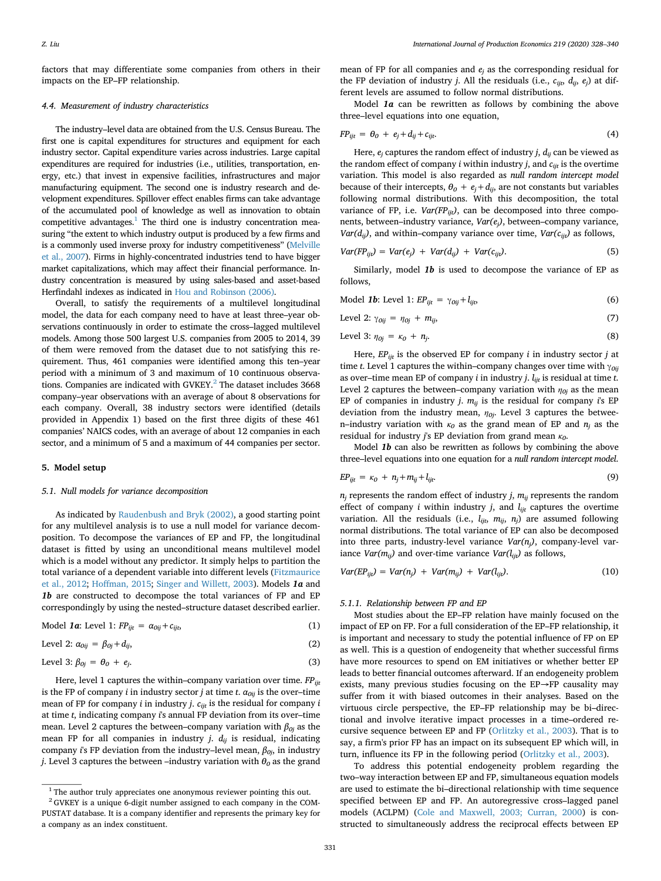factors that may differentiate some companies from others in their impacts on the EP–FP relationship.

## *4.4. Measurement of industry characteristics*

The industry–level data are obtained from the U.S. Census Bureau. The first one is capital expenditures for structures and equipment for each industry sector. Capital expenditure varies across industries. Large capital expenditures are required for industries (i.e., utilities, transportation, energy, etc.) that invest in expensive facilities, infrastructures and major manufacturing equipment. The second one is industry research and development expenditures. Spillover effect enables firms can take advantage of the accumulated pool of knowledge as well as innovation to obtain competitive advantages. $1$  The third one is industry concentration measuring "the extent to which industry output is produced by a few firms and is a commonly used inverse proxy for industry competitiveness" [\(Melville](#page-11-26) [et al., 2007\)](#page-11-26). Firms in highly-concentrated industries tend to have bigger market capitalizations, which may affect their financial performance. Industry concentration is measured by using sales-based and asset-based Herfindahl indexes as indicated in [Hou and Robinson \(2006\)](#page-11-27).

Overall, to satisfy the requirements of a multilevel longitudinal model, the data for each company need to have at least three–year observations continuously in order to estimate the cross–lagged multilevel models. Among those 500 largest U.S. companies from 2005 to 2014, 39 of them were removed from the dataset due to not satisfying this requirement. Thus, 461 companies were identified among this ten–year period with a minimum of 3 and maximum of 10 continuous observations. Companies are indicated with GVKEY. $^2$  The dataset includes 3668 company–year observations with an average of about 8 observations for each company. Overall, 38 industry sectors were identified (details provided in Appendix 1) based on the first three digits of these 461 companies' NAICS codes, with an average of about 12 companies in each sector, and a minimum of 5 and a maximum of 44 companies per sector.

#### **5. Model setup**

#### *5.1. Null models for variance decomposition*

As indicated by [Raudenbush and Bryk \(2002\),](#page-12-13) a good starting point for any multilevel analysis is to use a null model for variance decomposition. To decompose the variances of EP and FP, the longitudinal dataset is fitted by using an unconditional means multilevel model which is a model without any predictor. It simply helps to partition the total variance of a dependent variable into different levels [\(Fitzmaurice](#page-11-28) [et al., 2012](#page-11-28); [Hoffman, 2015](#page-11-29); [Singer and Willett, 2003](#page-12-14)). Models *1a* and *1b* are constructed to decompose the total variances of FP and EP correspondingly by using the nested–structure dataset described earlier.

<span id="page-3-2"></span>
$$
\text{Model } \mathbf{1a:} \text{ Level } 1: FP_{ijt} = \alpha_{0ij} + c_{ijt}, \tag{1}
$$

<span id="page-3-6"></span>
$$
Level 2: \alpha_{0ij} = \beta_{0j} + d_{ij}, \qquad (2)
$$

<span id="page-3-3"></span>
$$
Level 3: \beta_{0j} = \theta_0 + e_j. \tag{3}
$$

Here, level 1 captures the within–company variation over time. *FP*<sub>ijt</sub> is the FP of company *i* in industry sector *j* at time *t*.  $a_{0ij}$  is the over-time mean of FP for company *i* in industry *j*. *cijt* is the residual for company *i* at time *t*, indicating company *i*'s annual FP deviation from its over–time mean. Level 2 captures the between–company variation with  $\beta_{0i}$  as the mean FP for all companies in industry *j*. *dij* is residual, indicating company *i*'s FP deviation from the industry–level mean,  $\beta_{0j}$ , in industry *j*. Level 3 captures the between –industry variation with  $\theta_0$  as the grand

mean of FP for all companies and  $e_i$  as the corresponding residual for the FP deviation of industry *j*. All the residuals (i.e., *cijt*, *dij*, *ej*) at different levels are assumed to follow normal distributions.

Model *1a* can be rewritten as follows by combining the above three–level equations into one equation,

<span id="page-3-4"></span>
$$
FP_{ijt} = \theta_0 + e_j + d_{ij} + c_{ijt}.
$$
\n<sup>(4)</sup>

Here,  $e_i$  captures the random effect of industry *j*,  $d_{ii}$  can be viewed as the random effect of company *i* within industry *j*, and *cijt* is the overtime variation. This model is also regarded as *null random intercept model* because of their intercepts,  $\theta_0 + e_j + d_{ij}$ , are not constants but variables following normal distributions. With this decomposition, the total variance of FP, i.e. *Var*(FP<sub>ijt</sub>), can be decomposed into three components, between–industry variance, *Var(ej)*, between–company variance, *Var(d<sub>ii</sub>)*, and within–company variance over time, *Var(c<sub>iit</sub>)* as follows,

$$
Var(FP_{ijt}) = Var(e_j) + Var(d_{ij}) + Var(c_{ijt}).
$$
\n(5)

Similarly, model *1b* is used to decompose the variance of EP as follows,

$$
\text{Model } 1b: \text{Level } 1: EP_{ijt} = \gamma_{0ij} + l_{ijt}, \tag{6}
$$

$$
Level 2: \gamma_{0ij} = \eta_{0j} + m_{ij}, \qquad (7)
$$

$$
Level 3: \eta_{0j} = \kappa_0 + n_j. \tag{8}
$$

Here,  $EP_{ijt}$  is the observed EP for company *i* in industry sector *j* at time *t*. Level 1 captures the within–company changes over time with *γ<sub>0ii</sub>* as over–time mean EP of company *i* in industry *j*. *lijt* is residual at time *t*. Level 2 captures the between–company variation with  $\eta_{0j}$  as the mean EP of companies in industry *j.*  $m_{ij}$  is the residual for company *i*'s EP deviation from the industry mean, *η0j*. Level 3 captures the between–industry variation with *κ<sup>0</sup>* as the grand mean of EP and *nj* as the residual for industry *j*'s EP deviation from grand mean *κ0*.

Model *1b* can also be rewritten as follows by combining the above three–level equations into one equation for a *null random intercept model*.

<span id="page-3-5"></span>
$$
EP_{ijt} = \kappa_0 + n_j + m_{ij} + l_{ijt}.
$$
\n
$$
(9)
$$

 $n_i$  represents the random effect of industry *j*,  $m_{ii}$  represents the random effect of company *i* within industry *j*, and  $l_{\text{int}}$  captures the overtime variation. All the residuals (i.e.,  $l_{ijt}$ ,  $m_{ij}$ ,  $n_j$ ) are assumed following normal distributions. The total variance of EP can also be decomposed into three parts, industry-level variance  $Var(n_i)$ , company-level variance *Var*( $m_{ij}$ ) and over-time variance *Var*( $l_{ijt}$ ) as follows,

$$
Var(EP_{ijt}) = Var(n_j) + Var(m_{ij}) + Var(l_{ijt}). \qquad (10)
$$

#### *5.1.1. Relationship between FP and EP*

Most studies about the EP–FP relation have mainly focused on the impact of EP on FP. For a full consideration of the EP–FP relationship, it is important and necessary to study the potential influence of FP on EP as well. This is a question of endogeneity that whether successful firms have more resources to spend on EM initiatives or whether better EP leads to better financial outcomes afterward. If an endogeneity problem exists, many previous studies focusing on the EP→FP causality may suffer from it with biased outcomes in their analyses. Based on the virtuous circle perspective, the EP–FP relationship may be bi–directional and involve iterative impact processes in a time–ordered recursive sequence between EP and FP ([Orlitzky et al., 2003\)](#page-12-15). That is to say, a firm's prior FP has an impact on its subsequent EP which will, in turn, influence its FP in the following period ([Orlitzky et al., 2003\)](#page-12-15).

To address this potential endogeneity problem regarding the two–way interaction between EP and FP, simultaneous equation models are used to estimate the bi–directional relationship with time sequence specified between EP and FP. An autoregressive cross–lagged panel models (ACLPM) [\(Cole and Maxwell, 2003; Curran, 2000\)](#page-11-30) is constructed to simultaneously address the reciprocal effects between EP

<span id="page-3-0"></span> $^{\rm 1}$  The author truly appreciates one anonymous reviewer pointing this out.

<span id="page-3-1"></span> $^2\!\!$  GVKEY is a unique 6-digit number assigned to each company in the COM-PUSTAT database. It is a company identifier and represents the primary key for a company as an index constituent.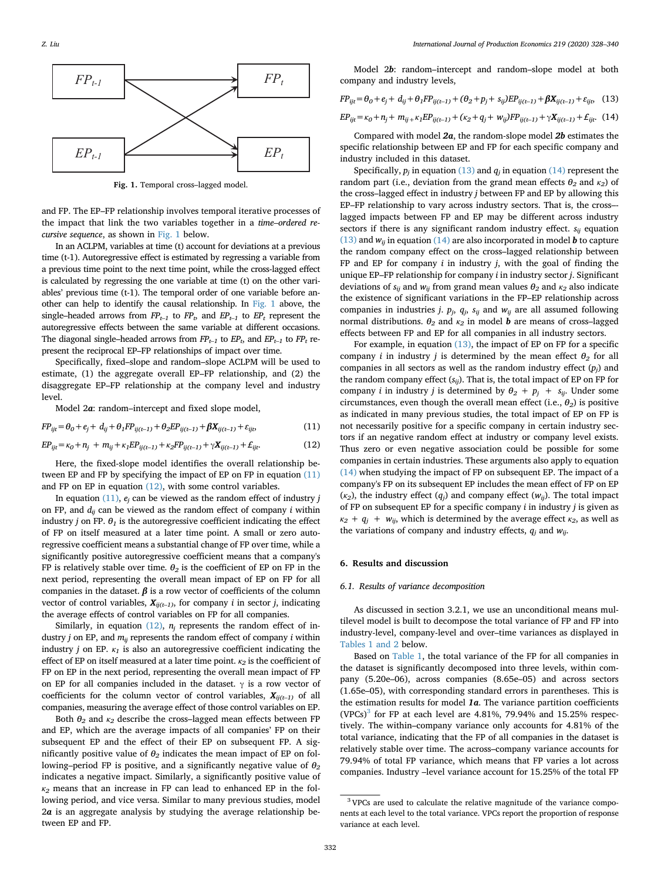<span id="page-4-0"></span>

**Fig. 1.** Temporal cross–lagged model.

and FP. The EP–FP relationship involves temporal iterative processes of the impact that link the two variables together in a *time–ordered recursive sequence*, as shown in [Fig. 1](#page-4-0) below.

In an ACLPM, variables at time (t) account for deviations at a previous time (t-1). Autoregressive effect is estimated by regressing a variable from a previous time point to the next time point, while the cross-lagged effect is calculated by regressing the one variable at time (t) on the other variables' previous time (t-1). The temporal order of one variable before another can help to identify the causal relationship. In [Fig. 1](#page-4-0) above, the single–headed arrows from  $FP_{t-1}$  to  $FP_b$  and  $EP_{t-1}$  to  $EP_t$  represent the autoregressive effects between the same variable at different occasions. The diagonal single–headed arrows from  $FP_{t-1}$  to  $EP_{t}$  and  $EP_{t-1}$  to  $FP_{t}$  represent the reciprocal EP–FP relationships of impact over time.

Specifically, fixed–slope and random–slope ACLPM will be used to estimate, (1) the aggregate overall EP–FP relationship, and (2) the disaggregate EP–FP relationship at the company level and industry level.

Model 2*a*: random–intercept and fixed slope model,

<span id="page-4-1"></span>
$$
FP_{ijt} = \theta_0 + e_j + d_{ij} + \theta_1 FP_{ij(t-1)} + \theta_2 EP_{ij(t-1)} + \beta X_{ij(t-1)} + \varepsilon_{ijt},
$$
\n(11)

<span id="page-4-2"></span>
$$
EP_{ijt} = \kappa_0 + n_j + m_{ij} + \kappa_1 EP_{ij(t-1)} + \kappa_2 FP_{ij(t-1)} + \gamma X_{ij(t-1)} + E_{ijt}.
$$
 (12)

Here, the fixed-slope model identifies the overall relationship between EP and FP by specifying the impact of EP on FP in equation [\(11\)](#page-4-1) and FP on EP in equation [\(12\)](#page-4-2), with some control variables.

In equation [\(11\)](#page-4-1),  $e_j$  can be viewed as the random effect of industry *j* on FP, and  $d_{ii}$  can be viewed as the random effect of company *i* within industry *j* on FP.  $\theta_1$  is the autoregressive coefficient indicating the effect of FP on itself measured at a later time point. A small or zero autoregressive coefficient means a substantial change of FP over time, while a significantly positive autoregressive coefficient means that a company's FP is relatively stable over time.  $\theta_2$  is the coefficient of EP on FP in the next period, representing the overall mean impact of EP on FP for all companies in the dataset.  $\beta$  is a row vector of coefficients of the column vector of control variables,  $X_{ij(t-1)}$ , for company *i* in sector *j*, indicating the average effects of control variables on FP for all companies.

Similarly, in equation  $(12)$ ,  $n<sub>i</sub>$  represents the random effect of industry *j* on EP, and  $m_{ij}$  represents the random effect of company *i* within industry *j* on EP.  $\kappa_1$  is also an autoregressive coefficient indicating the effect of EP on itself measured at a later time point.  $\kappa_2$  is the coefficient of FP on EP in the next period, representing the overall mean impact of FP on EP for all companies included in the dataset. *γ* is a row vector of coefficients for the column vector of control variables,  $X_{ii(t-1)}$  of all companies, measuring the average effect of those control variables on EP.

Both *θ2* and *κ<sup>2</sup>* describe the cross–lagged mean effects between FP and EP, which are the average impacts of all companies' FP on their subsequent EP and the effect of their EP on subsequent FP. A significantly positive value of  $\theta_2$  indicates the mean impact of EP on following–period FP is positive, and a significantly negative value of  $θ_2$ indicates a negative impact. Similarly, a significantly positive value of *κ<sup>2</sup>* means that an increase in FP can lead to enhanced EP in the following period, and vice versa. Similar to many previous studies, model 2*a* is an aggregate analysis by studying the average relationship between EP and FP.

Model 2*b*: random–intercept and random–slope model at both company and industry levels,

<span id="page-4-4"></span><span id="page-4-3"></span>
$$
FP_{ijt} = \theta_0 + e_j + d_{ij} + \theta_1 FP_{ij(t-1)} + (\theta_2 + p_j + s_{ij}) EP_{ij(t-1)} + \beta X_{ij(t-1)} + \varepsilon_{ijb} \quad (13)
$$
  
\n
$$
EP_{ijt} = \kappa_0 + n_j + m_{ij} + \kappa_1 EP_{ij(t-1)} + (\kappa_2 + q_j + w_{ij}) FP_{ij(t-1)} + \gamma X_{ij(t-1)} + \varepsilon_{ijt}.
$$

Compared with model *2a*, the random-slope model *2b* estimates the specific relationship between EP and FP for each specific company and industry included in this dataset.

Specifically,  $p_i$  in equation [\(13\)](#page-4-3) and  $q_i$  in equation [\(14\)](#page-4-4) represent the random part (i.e., deviation from the grand mean effects  $\theta_2$  and  $\kappa_2$ ) of the cross–lagged effect in industry *j* between FP and EP by allowing this EP–FP relationship to vary across industry sectors. That is, the cross– lagged impacts between FP and EP may be different across industry sectors if there is any significant random industry effect.  $s_{ii}$  equation [\(13\)](#page-4-3) and  $w_{ii}$  in equation [\(14\)](#page-4-4) are also incorporated in model *b* to capture the random company effect on the cross–lagged relationship between FP and EP for company *i* in industry *j*, with the goal of finding the unique EP–FP relationship for company *i* in industry sector *j*. Significant deviations of  $s_{ij}$  and  $w_{ij}$  from grand mean values  $\theta_2$  and  $\kappa_2$  also indicate the existence of significant variations in the FP–EP relationship across companies in industries *j.*  $p_j$ ,  $q_j$ ,  $s_{ij}$  and  $w_{ij}$  are all assumed following normal distributions.  $θ_2$  and  $κ_2$  in model **b** are means of cross-lagged effects between FP and EP for all companies in all industry sectors.

For example, in equation [\(13\),](#page-4-3) the impact of EP on FP for a specific company *i* in industry *j* is determined by the mean effect  $\theta_2$  for all companies in all sectors as well as the random industry effect (*pj*) and the random company effect (*sij*). That is, the total impact of EP on FP for company *i* in industry *j* is determined by  $\theta_2 + p_j + s_{ij}$ . Under some circumstances, even though the overall mean effect (i.e.,  $\theta_2$ ) is positive as indicated in many previous studies, the total impact of EP on FP is not necessarily positive for a specific company in certain industry sectors if an negative random effect at industry or company level exists. Thus zero or even negative association could be possible for some companies in certain industries. These arguments also apply to equation [\(14\)](#page-4-4) when studying the impact of FP on subsequent EP. The impact of a company's FP on its subsequent EP includes the mean effect of FP on EP  $(\kappa_2)$ , the industry effect  $(q_i)$  and company effect  $(w_{ii})$ . The total impact of FP on subsequent EP for a specific company *i* in industry *j* is given as  $\kappa_2 + q_j + w_{ij}$ , which is determined by the average effect  $\kappa_2$ , as well as the variations of company and industry effects,  $q_i$  and  $w_{ij}$ .

## **6. Results and discussion**

## *6.1. Results of variance decomposition*

As discussed in section 3.2.1, we use an unconditional means multilevel model is built to decompose the total variance of FP and FP into industry-level, company-level and over–time variances as displayed in [Tables 1 and 2](#page-5-0) below.

Based on [Table 1,](#page-5-0) the total variance of the FP for all companies in the dataset is significantly decomposed into three levels, within company (5.20e–06), across companies (8.65e–05) and across sectors (1.65e–05), with corresponding standard errors in parentheses. This is the estimation results for model *1a*. The variance partition coefficients  $(VPCs)^3$  $(VPCs)^3$  for FP at each level are 4.81%, 79.94% and 15.25% respectively. The within–company variance only accounts for 4.81% of the total variance, indicating that the FP of all companies in the dataset is relatively stable over time. The across–company variance accounts for 79.94% of total FP variance, which means that FP varies a lot across companies. Industry –level variance account for 15.25% of the total FP

<span id="page-4-5"></span><sup>&</sup>lt;sup>3</sup> VPCs are used to calculate the relative magnitude of the variance components at each level to the total variance. VPCs report the proportion of response variance at each level.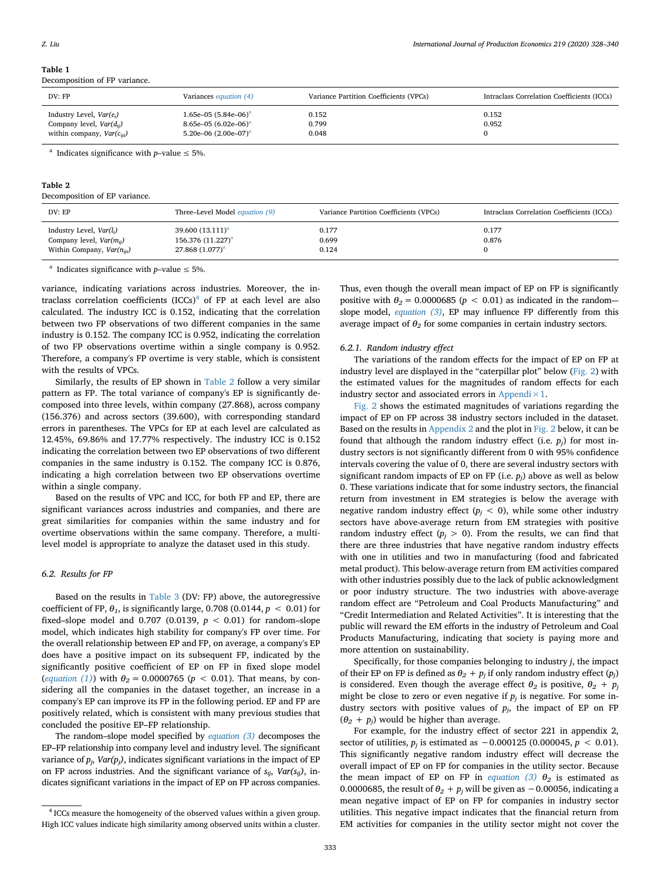<span id="page-5-0"></span>

| rapie r |  |  |
|---------|--|--|
|         |  |  |

Decomposition of FP variance.

| DV: FP                                                                                                | Variances <i>equation</i> (4)                                                            | Variance Partition Coefficients (VPCs) | Intraclass Correlation Coefficients (ICCs) |
|-------------------------------------------------------------------------------------------------------|------------------------------------------------------------------------------------------|----------------------------------------|--------------------------------------------|
| Industry Level, Var(e <sub>i</sub> )<br>Company level, $Var(d_{ii})$<br>within company, $Var(c_{ii})$ | 1.65e-05 $(5.84e-06)^a$<br>8.65e–05 (6.02e–06) <sup>a</sup><br>5.20e-06 $(2.00e-07)^{a}$ | 0.152<br>0.799<br>0.048                | 0.152<br>0.952                             |

<span id="page-5-3"></span><sup>a</sup> Indicates significance with *p*–value  $\leq$  5%.

<span id="page-5-2"></span>

| Table |  |
|-------|--|
|-------|--|

Decomposition of EP variance.

| DV: EP                                                                                      | Three–Level Model equation (9)                                                      | Variance Partition Coefficients (VPCs) | Intraclass Correlation Coefficients (ICCs) |
|---------------------------------------------------------------------------------------------|-------------------------------------------------------------------------------------|----------------------------------------|--------------------------------------------|
| Industry Level, $Var(l_i)$<br>Company level, $Var(m_{ii})$<br>Within Company, $Var(n_{ii})$ | 39.600 (13.111) <sup>a</sup><br>156.376 (11.227) <sup>a</sup><br>27.868 $(1.077)^a$ | 0.177<br>0.699<br>0.124                | 0.177<br>0.876                             |

<span id="page-5-4"></span><sup>a</sup> Indicates significance with *p*–value  $\leq$  5%.

variance, indicating variations across industries. Moreover, the intraclass correlation coefficients  $(ICCs)^4$  of FP at each level are also calculated. The industry ICC is 0.152, indicating that the correlation between two FP observations of two different companies in the same industry is 0.152. The company ICC is 0.952, indicating the correlation of two FP observations overtime within a single company is 0.952. Therefore, a company's FP overtime is very stable, which is consistent with the results of VPCs.

Similarly, the results of EP shown in [Table 2](#page-5-2) follow a very similar pattern as FP. The total variance of company's EP is significantly decomposed into three levels, within company (27.868), across company (156.376) and across sectors (39.600), with corresponding standard errors in parentheses. The VPCs for EP at each level are calculated as 12.45%, 69.86% and 17.77% respectively. The industry ICC is 0.152 indicating the correlation between two EP observations of two different companies in the same industry is 0.152. The company ICC is 0.876, indicating a high correlation between two EP observations overtime within a single company.

Based on the results of VPC and ICC, for both FP and EP, there are significant variances across industries and companies, and there are great similarities for companies within the same industry and for overtime observations within the same company. Therefore, a multilevel model is appropriate to analyze the dataset used in this study.

## *6.2. Results for FP*

Based on the results in [Table 3](#page-6-0) (DV: FP) above, the autoregressive coefficient of FP,  $\theta_1$ , is significantly large, 0.708 (0.0144,  $p < 0.01$ ) for fixed–slope model and  $0.707$  (0.0139,  $p < 0.01$ ) for random–slope model, which indicates high stability for company's FP over time. For the overall relationship between EP and FP, on average, a company's EP does have a positive impact on its subsequent FP, indicated by the significantly positive coefficient of EP on FP in fixed slope model (*equation* (1)) with  $\theta_2 = 0.0000765$  ( $p < 0.01$ ). That means, by considering all the companies in the dataset together, an increase in a company's EP can improve its FP in the following period. EP and FP are positively related, which is consistent with many previous studies that concluded the positive EP–FP relationship.

The random–slope model specified by *[equation \(3\)](#page-3-2)* decomposes the EP–FP relationship into company level and industry level. The significant variance of *pj*, *Var(pj )*, indicates significant variations in the impact of EP on FP across industries. And the significant variance of *sij*, *Var(sij)*, indicates significant variations in the impact of EP on FP across companies.

Thus, even though the overall mean impact of EP on FP is significantly positive with  $\theta_2 = 0.0000685$  ( $p < 0.01$ ) as indicated in the random-slope model, *[equation \(3\)](#page-3-3)*, EP may influence FP differently from this average impact of  $\theta_2$  for some companies in certain industry sectors.

#### *6.2.1. Random industry effect*

The variations of the random effects for the impact of EP on FP at industry level are displayed in the "caterpillar plot" below ([Fig. 2\)](#page-6-1) with the estimated values for the magnitudes of random effects for each industry sector and associated errors in Appendi $\times 1$ .

[Fig. 2](#page-6-1) shows the estimated magnitudes of variations regarding the impact of EP on FP across 38 industry sectors included in the dataset. Based on the results in [Appendix 2](#page-10-0) and the plot in [Fig. 2](#page-6-1) below, it can be found that although the random industry effect (i.e.  $p_i$ ) for most industry sectors is not significantly different from 0 with 95% confidence intervals covering the value of 0, there are several industry sectors with significant random impacts of EP on FP (i.e.  $p_j$ ) above as well as below 0. These variations indicate that for some industry sectors, the financial return from investment in EM strategies is below the average with negative random industry effect  $(p_i < 0)$ , while some other industry sectors have above-average return from EM strategies with positive random industry effect  $(p_i > 0)$ . From the results, we can find that there are three industries that have negative random industry effects with one in utilities and two in manufacturing (food and fabricated metal product). This below-average return from EM activities compared with other industries possibly due to the lack of public acknowledgment or poor industry structure. The two industries with above-average random effect are "Petroleum and Coal Products Manufacturing" and "Credit Intermediation and Related Activities". It is interesting that the public will reward the EM efforts in the industry of Petroleum and Coal Products Manufacturing, indicating that society is paying more and more attention on sustainability.

Specifically, for those companies belonging to industry *j*, the impact of their EP on FP is defined as  $\theta_2 + p_j$  if only random industry effect  $(p_j)$ is considered. Even though the average effect  $\theta_2$  is positive,  $\theta_2 + p_j$ might be close to zero or even negative if  $p_j$  is negative. For some industry sectors with positive values of  $p_j$ , the impact of EP on FP  $(\theta_2 + p_i)$  would be higher than average.

For example, for the industry effect of sector 221 in appendix 2, sector of utilities,  $p_i$  is estimated as  $-0.000125$  (0.000045,  $p < 0.01$ ). This significantly negative random industry effect will decrease the overall impact of EP on FP for companies in the utility sector. Because the mean impact of EP on FP in *[equation \(3\)](#page-3-3)*  $\theta_2$  is estimated as 0.0000685, the result of  $\theta_2 + p_i$  will be given as  $-0.00056$ , indicating a mean negative impact of EP on FP for companies in industry sector utilities. This negative impact indicates that the financial return from EM activities for companies in the utility sector might not cover the

<span id="page-5-1"></span><sup>4</sup> ICCs measure the homogeneity of the observed values within a given group. High ICC values indicate high similarity among observed units within a cluster.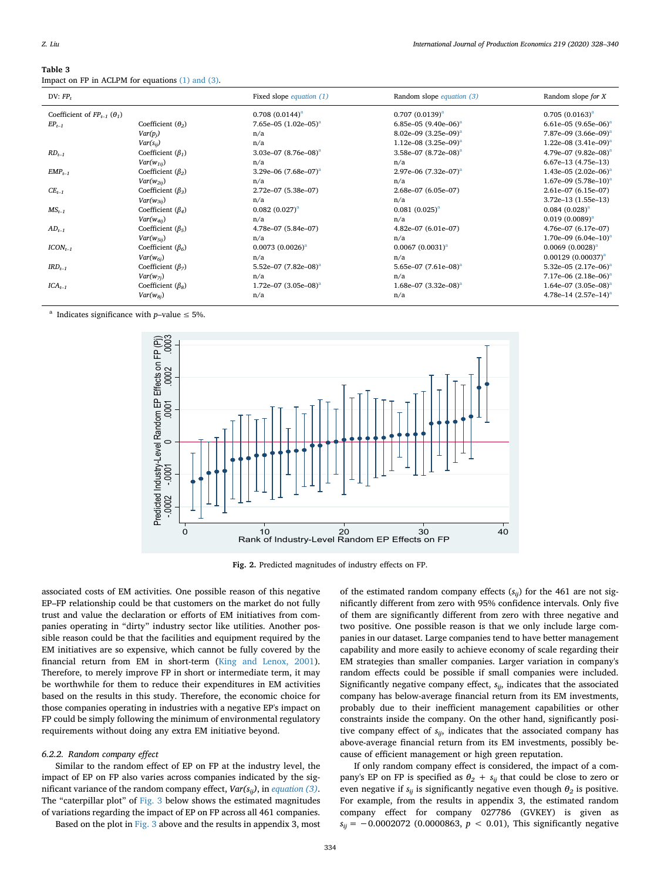<span id="page-6-0"></span>

| Table 3                                          |  |
|--------------------------------------------------|--|
| Impact on FP in ACLPM for equations (1) and (3). |  |

| DV: $FP_t$                          |                           | Fixed slope <i>equation</i> (1) | Random slope equation (3) | Random slope for $X$             |
|-------------------------------------|---------------------------|---------------------------------|---------------------------|----------------------------------|
| Coefficient of $FP_{t-1}(\theta_1)$ |                           | $0.708~(0.0144)^{a}$            | $0.707(0.0139)^{a}$       | $0.705(0.0163)^{a}$              |
| $EP_{t-1}$                          | Coefficient $(\theta_2)$  | 7.65e-05 $(1.02e-05)^a$         | 6.85e-05 $(9.40e-06)^a$   | 6.61e-05 (9.65e-06) <sup>a</sup> |
|                                     | $Var(p_i)$                | n/a                             | 8.02e-09 $(3.25e-09)^a$   | 7.87e-09 $(3.66e-09)^{a}$        |
|                                     | $Var(s_{ii})$             | n/a                             | 1.12e-08 $(3.25e-09)^a$   | 1.22e-08 $(3.41e-09)^{a}$        |
| $RD_{t-1}$                          | Coefficient $(\beta_1)$   | 3.03e-07 $(8.76e-08)^a$         | 3.58e-07 $(8.72e-08)^a$   | 4.79e-07 $(9.82e-08)^a$          |
|                                     | $Var(w_{1ii})$            | n/a                             | n/a                       | $6.67e-13(4.75e-13)$             |
| $EMP_{t-1}$                         | Coefficient $(\beta_2)$   | 3.29e-06 $(7.68e-07)^a$         | 2.97e-06 $(7.32e-07)^a$   | 1.43e-05 $(2.02e-06)^a$          |
|                                     | $Var(w_{2ii})$            | n/a                             | n/a                       | 1.67e-09 $(5.78e-10)^a$          |
| $CE_{t-1}$                          | Coefficient $(\beta_3)$   | 2.72e-07 (5.38e-07)             | 2.68e-07 (6.05e-07)       | 2.61e-07 (6.15e-07)              |
|                                     | $Var(w_{3ii})$            | n/a                             | n/a                       | $3.72e-13(1.55e-13)$             |
| $MS_{t-1}$                          | Coefficient $(\beta_4)$   | $0.082~(0.027)^{a}$             | $0.081(0.025)^{a}$        | $0.084~(0.028)^{a}$              |
|                                     | $Var(w_{4ii})$            | n/a                             | n/a                       | $0.019(0.0089)^{a}$              |
| $AD_{t-1}$                          | Coefficient ( $\beta_5$ ) | 4.78e-07 (5.84e-07)             | $4.82e-07(6.01e-07)$      | 4.76e-07 (6.17e-07)              |
|                                     | $Var(w_{5ii})$            | n/a                             | n/a                       | 1.70e-09 $(6.04e-10)^a$          |
| $ICON_{t-1}$                        | Coefficient $(\beta_6)$   | $0.0073~(0.0026)^{a}$           | $0.0067(0.0031)^{a}$      | $0.0069(0.0028)^{a}$             |
|                                     | $Var(w_{6i})$             | n/a                             | n/a                       | $0.00129(0.00037)^{a}$           |
| $IRD_{t-1}$                         | Coefficient $(\beta_7)$   | 5.52e-07 $(7.82e-08)^a$         | 5.65e-07 $(7.61e-08)^a$   | 5.32e-05 $(2.17e-06)^a$          |
|                                     | $Var(w_{7i})$             | n/a                             | n/a                       | 7.17e-06 $(2.18e-06)^a$          |
| $ICA_{t-1}$                         | Coefficient $(\beta_8)$   | 1.72e-07 $(3.05e-08)^a$         | 1.68e-07 $(3.32e-08)^a$   | 1.64e-07 $(3.05e-08)^a$          |
|                                     | $Var(w_{8i})$             | n/a                             | n/a                       | 4.78e-14 $(2.57e-14)^a$          |

<span id="page-6-2"></span><span id="page-6-1"></span>Indicates significance with *p*–value  $\leq$  5%.



**Fig. 2.** Predicted magnitudes of industry effects on FP.

associated costs of EM activities. One possible reason of this negative EP–FP relationship could be that customers on the market do not fully trust and value the declaration or efforts of EM initiatives from companies operating in "dirty" industry sector like utilities. Another possible reason could be that the facilities and equipment required by the EM initiatives are so expensive, which cannot be fully covered by the financial return from EM in short-term [\(King and Lenox, 2001](#page-11-15)). Therefore, to merely improve FP in short or intermediate term, it may be worthwhile for them to reduce their expenditures in EM activities based on the results in this study. Therefore, the economic choice for those companies operating in industries with a negative EP's impact on FP could be simply following the minimum of environmental regulatory requirements without doing any extra EM initiative beyond.

## *6.2.2. Random company effect*

Similar to the random effect of EP on FP at the industry level, the impact of EP on FP also varies across companies indicated by the significant variance of the random company effect, *Var(sij)*, in *[equation \(3\)](#page-3-3)*. The "caterpillar plot" of [Fig. 3](#page-7-0) below shows the estimated magnitudes of variations regarding the impact of EP on FP across all 461 companies. Based on the plot in [Fig. 3](#page-7-0) above and the results in appendix 3, most

of the estimated random company effects  $(s_{ij})$  for the 461 are not significantly different from zero with 95% confidence intervals. Only five of them are significantly different from zero with three negative and two positive. One possible reason is that we only include large companies in our dataset. Large companies tend to have better management capability and more easily to achieve economy of scale regarding their EM strategies than smaller companies. Larger variation in company's random effects could be possible if small companies were included. Significantly negative company effect,  $s_{ii}$ , indicates that the associated company has below-average financial return from its EM investments, probably due to their inefficient management capabilities or other constraints inside the company. On the other hand, significantly positive company effect of  $s_{ij}$ , indicates that the associated company has above-average financial return from its EM investments, possibly because of efficient management or high green reputation.

If only random company effect is considered, the impact of a company's EP on FP is specified as  $\theta_2 + s_{ij}$  that could be close to zero or even negative if  $s_{ij}$  is significantly negative even though  $\theta_2$  is positive. For example, from the results in appendix 3, the estimated random company effect for company 027786 (GVKEY) is given as *sij* = −0.0002072 (0.0000863, *p* < 0.01), This significantly negative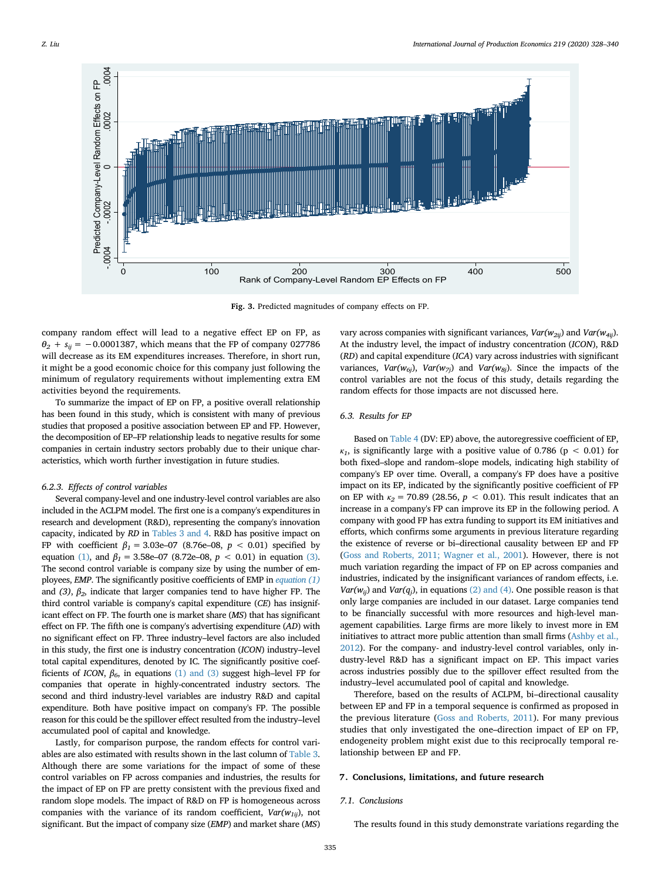<span id="page-7-0"></span>

**Fig. 3.** Predicted magnitudes of company effects on FP.

company random effect will lead to a negative effect EP on FP, as  $\theta_2$  +  $s_{ii}$  = −0.0001387, which means that the FP of company 027786 will decrease as its EM expenditures increases. Therefore, in short run, it might be a good economic choice for this company just following the minimum of regulatory requirements without implementing extra EM activities beyond the requirements.

To summarize the impact of EP on FP, a positive overall relationship has been found in this study, which is consistent with many of previous studies that proposed a positive association between EP and FP. However, the decomposition of EP–FP relationship leads to negative results for some companies in certain industry sectors probably due to their unique characteristics, which worth further investigation in future studies.

## *6.2.3. Effects of control variables*

Several company-level and one industry-level control variables are also included in the ACLPM model. The first one is a company's expenditures in research and development (R&D), representing the company's innovation capacity, indicated by *RD* in [Tables 3 and 4](#page-6-0). R&D has positive impact on FP with coefficient  $\beta_1 = 3.03e-07$  (8.76e-08,  $p < 0.01$ ) specified by equation [\(1\),](#page-3-2) and  $\beta_1 = 3.58e-07$  (8.72e-08,  $p < 0.01$ ) in equation [\(3\)](#page-3-3). The second control variable is company size by using the number of employees, *EMP*. The significantly positive coefficients of EMP in *[equation \(1\)](#page-3-2)* and  $(3)$ ,  $\beta_2$ , indicate that larger companies tend to have higher FP. The third control variable is company's capital expenditure (*CE*) has insignificant effect on FP. The fourth one is market share (*MS*) that has significant effect on FP. The fifth one is company's advertising expenditure (*AD*) with no significant effect on FP. Three industry–level factors are also included in this study, the first one is industry concentration (*ICON*) industry–level total capital expenditures, denoted by IC. The significantly positive coefficients of *ICON*,  $\beta_6$ , in equations [\(1\) and \(3\)](#page-3-2) suggest high-level FP for companies that operate in highly-concentrated industry sectors. The second and third industry-level variables are industry R&D and capital expenditure. Both have positive impact on company's FP. The possible reason for this could be the spillover effect resulted from the industry–level accumulated pool of capital and knowledge.

Lastly, for comparison purpose, the random effects for control variables are also estimated with results shown in the last column of [Table 3](#page-6-0). Although there are some variations for the impact of some of these control variables on FP across companies and industries, the results for the impact of EP on FP are pretty consistent with the previous fixed and random slope models. The impact of R&D on FP is homogeneous across companies with the variance of its random coefficient,  $Var(w_{1ij})$ , not significant. But the impact of company size (*EMP*) and market share (*MS*) vary across companies with significant variances,  $Var(w_{2ii})$  and  $Var(w_{4ii})$ . At the industry level, the impact of industry concentration (*ICON*), R&D (*RD*) and capital expenditure (*ICA*) vary across industries with significant variances,  $Var(w_{6j})$ ,  $Var(w_{7j})$  and  $Var(w_{8j})$ . Since the impacts of the control variables are not the focus of this study, details regarding the random effects for those impacts are not discussed here.

## *6.3. Results for EP*

Based on [Table 4](#page-8-0) (DV: EP) above, the autoregressive coefficient of EP,  $\kappa_1$ , is significantly large with a positive value of 0.786 (p < 0.01) for both fixed–slope and random–slope models, indicating high stability of company's EP over time. Overall, a company's FP does have a positive impact on its EP, indicated by the significantly positive coefficient of FP on EP with  $\kappa_2$  = 70.89 (28.56,  $p < 0.01$ ). This result indicates that an increase in a company's FP can improve its EP in the following period. A company with good FP has extra funding to support its EM initiatives and efforts, which confirms some arguments in previous literature regarding the existence of reverse or bi–directional causality between EP and FP ([Goss and Roberts, 2011; Wagner et al., 2001](#page-11-31)). However, there is not much variation regarding the impact of FP on EP across companies and industries, indicated by the insignificant variances of random effects, i.e. *Var(w<sub>ii</sub>)* and *Var(q<sub>i</sub>)*, in equations [\(2\) and \(4\)](#page-3-6). One possible reason is that only large companies are included in our dataset. Large companies tend to be financially successful with more resources and high-level management capabilities. Large firms are more likely to invest more in EM initiatives to attract more public attention than small firms ([Ashby et al.,](#page-11-23) [2012](#page-11-23)). For the company- and industry-level control variables, only industry-level R&D has a significant impact on EP. This impact varies across industries possibly due to the spillover effect resulted from the industry–level accumulated pool of capital and knowledge.

Therefore, based on the results of ACLPM, bi–directional causality between EP and FP in a temporal sequence is confirmed as proposed in the previous literature [\(Goss and Roberts, 2011\)](#page-11-31). For many previous studies that only investigated the one–direction impact of EP on FP, endogeneity problem might exist due to this reciprocally temporal relationship between EP and FP.

#### **7. Conclusions, limitations, and future research**

#### *7.1. Conclusions*

The results found in this study demonstrate variations regarding the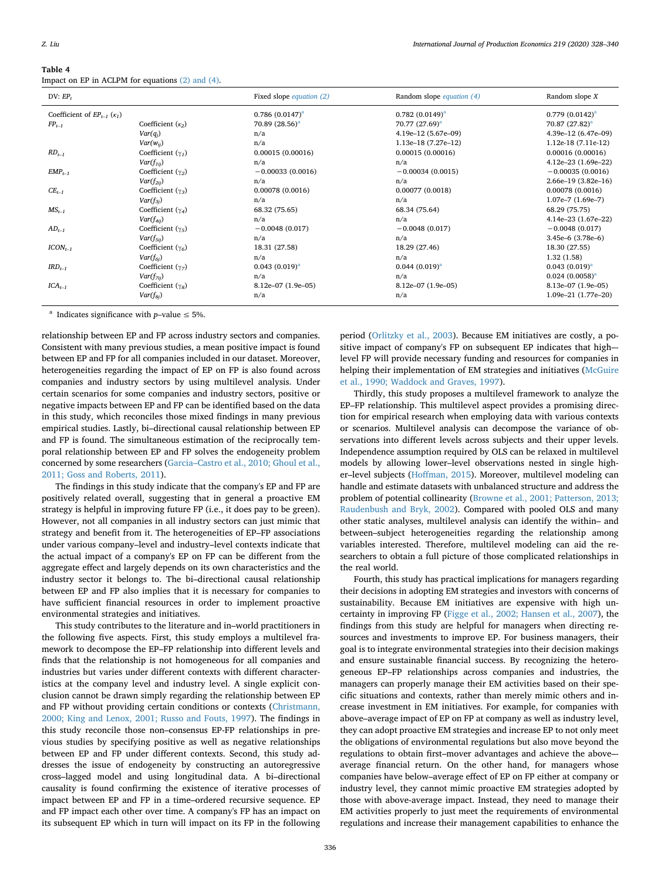| Z. Liu | International Journal of Production Economics 219 (2020) 328-340 |
|--------|------------------------------------------------------------------|
|--------|------------------------------------------------------------------|

<span id="page-8-0"></span>

| Table 4                                          |  |
|--------------------------------------------------|--|
| Impact on EP in ACLPM for equations (2) and (4). |  |

| $DV: EP_t$                     |                          | Fixed slope <i>equation</i> $(2)$ | Random slope <i>equation</i> (4) | Random slope $X$      |
|--------------------------------|--------------------------|-----------------------------------|----------------------------------|-----------------------|
| Coefficient of $EP_{t-1}(k_1)$ |                          | $0.786~(0.0147)^{a}$              | $0.782(0.0149)^{a}$              | $0.779(0.0142)^{a}$   |
| $FP_{t-1}$                     | Coefficient $(\kappa_2)$ | 70.89 (28.56) <sup>a</sup>        | 70.77 (27.69) <sup>a</sup>       | $70.87~(27.82)^a$     |
|                                | $Var(q_i)$               | n/a                               | 4.19e-12 (5.67e-09)              | 4.39e-12 (6.47e-09)   |
|                                | $Var(w_{ii})$            | n/a                               | $1.13e-18(7.27e-12)$             | 1.12e-18 (7.11e-12)   |
| $RD_{t-1}$                     | Coefficient $(\gamma_1)$ | 0.00015(0.00016)                  | 0.00015(0.00016)                 | 0.00016(0.00016)      |
|                                | $Var(f_{1ii})$           | n/a                               | n/a                              | $4.12e-23(1.69e-22)$  |
| $EMP_{t-1}$                    | Coefficient $(y_2)$      | $-0.00033(0.0016)$                | $-0.00034(0.0015)$               | $-0.00035(0.0016)$    |
|                                | $Var(f_{2ii})$           | n/a                               | n/a                              | $2.66e-19(3.82e-16)$  |
| $CE_{t-1}$                     | Coefficient $(\gamma_3)$ | 0.00078(0.0016)                   | 0.00077(0.0018)                  | 0.00078(0.0016)       |
|                                | $Var(f_{3i})$            | n/a                               | n/a                              | $1.07e-7$ (1.69e-7)   |
| $MS_{t-1}$                     | Coefficient $(\gamma_4)$ | 68.32 (75.65)                     | 68.34 (75.64)                    | 68.29 (75.75)         |
|                                | $Var(f_{4ii})$           | n/a                               | n/a                              | 4.14e-23 (1.67e-22)   |
| $AD_{t-1}$                     | Coefficient $(\gamma_5)$ | $-0.0048(0.017)$                  | $-0.0048(0.017)$                 | $-0.0048(0.017)$      |
|                                | $Var(f_{5ii})$           | n/a                               | n/a                              | $3.45e-6$ $(3.78e-6)$ |
| $ICON_{t-1}$                   | Coefficient $(\gamma_6)$ | 18.31 (27.58)                     | 18.29 (27.46)                    | 18.30 (27.55)         |
|                                | $Var(f_{6i})$            | n/a                               | n/a                              | 1.32(1.58)            |
| $IRD_{t-1}$                    | Coefficient $(\gamma_7)$ | $0.043(0.019)^{a}$                | $0.044~(0.019)^{a}$              | $0.043(0.019)^{a}$    |
|                                | $Var(f_{7ij})$           | n/a                               | n/a                              | $0.024~(0.0058)^{a}$  |
| $ICA_{t-1}$                    | Coefficient $(\gamma_8)$ | 8.12e-07 (1.9e-05)                | 8.12e-07 (1.9e-05)               | 8.13e-07 (1.9e-05)    |
|                                | $Var(f_{8i})$            | n/a                               | n/a                              | 1.09e-21 (1.77e-20)   |

<span id="page-8-1"></span>Indicates significance with *p*–value  $\leq$  5%.

relationship between EP and FP across industry sectors and companies. Consistent with many previous studies, a mean positive impact is found between EP and FP for all companies included in our dataset. Moreover, heterogeneities regarding the impact of EP on FP is also found across companies and industry sectors by using multilevel analysis. Under certain scenarios for some companies and industry sectors, positive or negative impacts between EP and FP can be identified based on the data in this study, which reconciles those mixed findings in many previous empirical studies. Lastly, bi–directional causal relationship between EP and FP is found. The simultaneous estimation of the reciprocally temporal relationship between EP and FP solves the endogeneity problem concerned by some researchers [\(Garcia–Castro et al., 2010; Ghoul et al.,](#page-11-32) [2011; Goss and Roberts, 2011\)](#page-11-32).

The findings in this study indicate that the company's EP and FP are positively related overall, suggesting that in general a proactive EM strategy is helpful in improving future FP (i.e., it does pay to be green). However, not all companies in all industry sectors can just mimic that strategy and benefit from it. The heterogeneities of EP–FP associations under various company–level and industry–level contexts indicate that the actual impact of a company's EP on FP can be different from the aggregate effect and largely depends on its own characteristics and the industry sector it belongs to. The bi–directional causal relationship between EP and FP also implies that it is necessary for companies to have sufficient financial resources in order to implement proactive environmental strategies and initiatives.

This study contributes to the literature and in–world practitioners in the following five aspects. First, this study employs a multilevel framework to decompose the EP–FP relationship into different levels and finds that the relationship is not homogeneous for all companies and industries but varies under different contexts with different characteristics at the company level and industry level. A single explicit conclusion cannot be drawn simply regarding the relationship between EP and FP without providing certain conditions or contexts ([Christmann,](#page-11-6) [2000; King and Lenox, 2001; Russo and Fouts, 1997](#page-11-6)). The findings in this study reconcile those non–consensus EP-FP relationships in previous studies by specifying positive as well as negative relationships between EP and FP under different contexts. Second, this study addresses the issue of endogeneity by constructing an autoregressive cross–lagged model and using longitudinal data. A bi–directional causality is found confirming the existence of iterative processes of impact between EP and FP in a time–ordered recursive sequence. EP and FP impact each other over time. A company's FP has an impact on its subsequent EP which in turn will impact on its FP in the following

period [\(Orlitzky et al., 2003](#page-12-15)). Because EM initiatives are costly, a positive impact of company's FP on subsequent EP indicates that high– level FP will provide necessary funding and resources for companies in helping their implementation of EM strategies and initiatives [\(McGuire](#page-11-13) [et al., 1990; Waddock and Graves, 1997](#page-11-13)).

Thirdly, this study proposes a multilevel framework to analyze the EP–FP relationship. This multilevel aspect provides a promising direction for empirical research when employing data with various contexts or scenarios. Multilevel analysis can decompose the variance of observations into different levels across subjects and their upper levels. Independence assumption required by OLS can be relaxed in multilevel models by allowing lower–level observations nested in single higher–level subjects ([Hoffman, 2015\)](#page-11-29). Moreover, multilevel modeling can handle and estimate datasets with unbalanced structure and address the problem of potential collinearity [\(Browne et al., 2001; Patterson, 2013;](#page-11-33) [Raudenbush and Bryk, 2002\)](#page-11-33). Compared with pooled OLS and many other static analyses, multilevel analysis can identify the within– and between–subject heterogeneities regarding the relationship among variables interested. Therefore, multilevel modeling can aid the researchers to obtain a full picture of those complicated relationships in the real world.

Fourth, this study has practical implications for managers regarding their decisions in adopting EM strategies and investors with concerns of sustainability. Because EM initiatives are expensive with high uncertainty in improving FP [\(Figge et al., 2002; Hansen et al., 2007\)](#page-11-34), the findings from this study are helpful for managers when directing resources and investments to improve EP. For business managers, their goal is to integrate environmental strategies into their decision makings and ensure sustainable financial success. By recognizing the heterogeneous EP–FP relationships across companies and industries, the managers can properly manage their EM activities based on their specific situations and contexts, rather than merely mimic others and increase investment in EM initiatives. For example, for companies with above–average impact of EP on FP at company as well as industry level, they can adopt proactive EM strategies and increase EP to not only meet the obligations of environmental regulations but also move beyond the regulations to obtain first–mover advantages and achieve the above– average financial return. On the other hand, for managers whose companies have below–average effect of EP on FP either at company or industry level, they cannot mimic proactive EM strategies adopted by those with above-average impact. Instead, they need to manage their EM activities properly to just meet the requirements of environmental regulations and increase their management capabilities to enhance the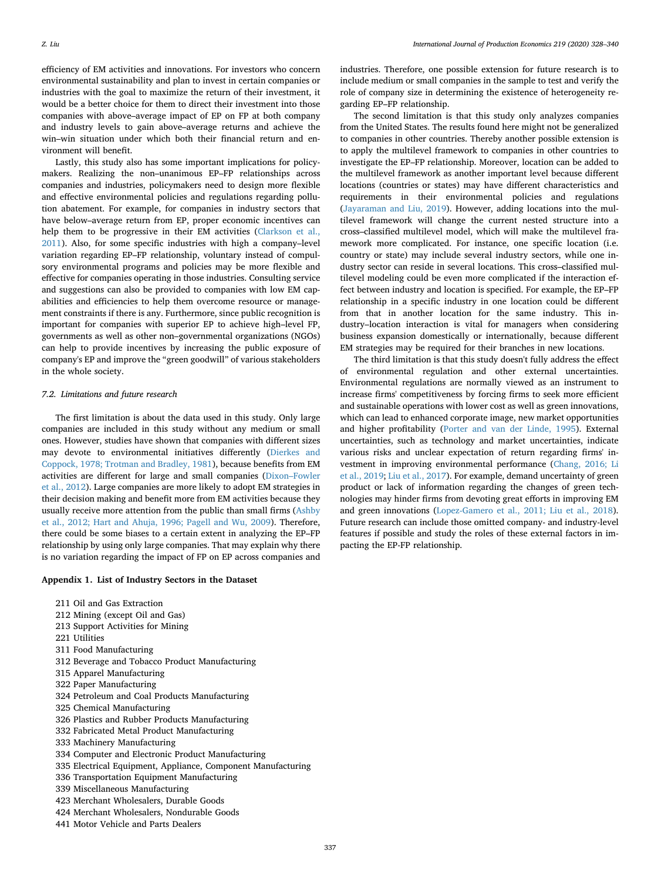efficiency of EM activities and innovations. For investors who concern environmental sustainability and plan to invest in certain companies or industries with the goal to maximize the return of their investment, it would be a better choice for them to direct their investment into those companies with above–average impact of EP on FP at both company and industry levels to gain above–average returns and achieve the win–win situation under which both their financial return and environment will benefit.

Lastly, this study also has some important implications for policymakers. Realizing the non–unanimous EP–FP relationships across companies and industries, policymakers need to design more flexible and effective environmental policies and regulations regarding pollution abatement. For example, for companies in industry sectors that have below–average return from EP, proper economic incentives can help them to be progressive in their EM activities [\(Clarkson et al.,](#page-11-35) [2011\)](#page-11-35). Also, for some specific industries with high a company–level variation regarding EP–FP relationship, voluntary instead of compulsory environmental programs and policies may be more flexible and effective for companies operating in those industries. Consulting service and suggestions can also be provided to companies with low EM capabilities and efficiencies to help them overcome resource or management constraints if there is any. Furthermore, since public recognition is important for companies with superior EP to achieve high–level FP, governments as well as other non–governmental organizations (NGOs) can help to provide incentives by increasing the public exposure of company's EP and improve the "green goodwill" of various stakeholders in the whole society.

## *7.2. Limitations and future research*

The first limitation is about the data used in this study. Only large companies are included in this study without any medium or small ones. However, studies have shown that companies with different sizes may devote to environmental initiatives differently ([Dierkes and](#page-11-36) [Coppock, 1978; Trotman and Bradley, 1981](#page-11-36)), because benefits from EM activities are different for large and small companies ([Dixon–Fowler](#page-11-37) [et al., 2012](#page-11-37)). Large companies are more likely to adopt EM strategies in their decision making and benefit more from EM activities because they usually receive more attention from the public than small firms ([Ashby](#page-11-23) [et al., 2012; Hart and Ahuja, 1996; Pagell and Wu, 2009\)](#page-11-23). Therefore, there could be some biases to a certain extent in analyzing the EP–FP relationship by using only large companies. That may explain why there is no variation regarding the impact of FP on EP across companies and

## <span id="page-9-0"></span>**Appendix 1. List of Industry Sectors in the Dataset**

- 211 Oil and Gas Extraction
- 212 Mining (except Oil and Gas)
- 213 Support Activities for Mining
- 221 Utilities
- 311 Food Manufacturing
- 312 Beverage and Tobacco Product Manufacturing
- 315 Apparel Manufacturing
- 322 Paper Manufacturing
- 324 Petroleum and Coal Products Manufacturing
- 325 Chemical Manufacturing
- 326 Plastics and Rubber Products Manufacturing
- 332 Fabricated Metal Product Manufacturing
- 333 Machinery Manufacturing
- 334 Computer and Electronic Product Manufacturing
- 335 Electrical Equipment, Appliance, Component Manufacturing
- 336 Transportation Equipment Manufacturing
- 339 Miscellaneous Manufacturing
- 423 Merchant Wholesalers, Durable Goods
- 424 Merchant Wholesalers, Nondurable Goods
- 441 Motor Vehicle and Parts Dealers

industries. Therefore, one possible extension for future research is to include medium or small companies in the sample to test and verify the role of company size in determining the existence of heterogeneity regarding EP–FP relationship.

The second limitation is that this study only analyzes companies from the United States. The results found here might not be generalized to companies in other countries. Thereby another possible extension is to apply the multilevel framework to companies in other countries to investigate the EP–FP relationship. Moreover, location can be added to the multilevel framework as another important level because different locations (countries or states) may have different characteristics and requirements in their environmental policies and regulations ([Jayaraman and Liu, 2019](#page-11-38)). However, adding locations into the multilevel framework will change the current nested structure into a cross–classified multilevel model, which will make the multilevel framework more complicated. For instance, one specific location (i.e. country or state) may include several industry sectors, while one industry sector can reside in several locations. This cross–classified multilevel modeling could be even more complicated if the interaction effect between industry and location is specified. For example, the EP–FP relationship in a specific industry in one location could be different from that in another location for the same industry. This industry–location interaction is vital for managers when considering business expansion domestically or internationally, because different EM strategies may be required for their branches in new locations.

The third limitation is that this study doesn't fully address the effect of environmental regulation and other external uncertainties. Environmental regulations are normally viewed as an instrument to increase firms' competitiveness by forcing firms to seek more efficient and sustainable operations with lower cost as well as green innovations, which can lead to enhanced corporate image, new market opportunities and higher profitability ([Porter and van der Linde, 1995\)](#page-12-16). External uncertainties, such as technology and market uncertainties, indicate various risks and unclear expectation of return regarding firms' investment in improving environmental performance ([Chang, 2016; Li](#page-11-39) [et al., 2019;](#page-11-39) [Liu et al., 2017](#page-11-40)). For example, demand uncertainty of green product or lack of information regarding the changes of green technologies may hinder firms from devoting great efforts in improving EM and green innovations ([Lopez-Gamero et al., 2011; Liu et al., 2018](#page-11-41)). Future research can include those omitted company- and industry-level features if possible and study the roles of these external factors in impacting the EP-FP relationship.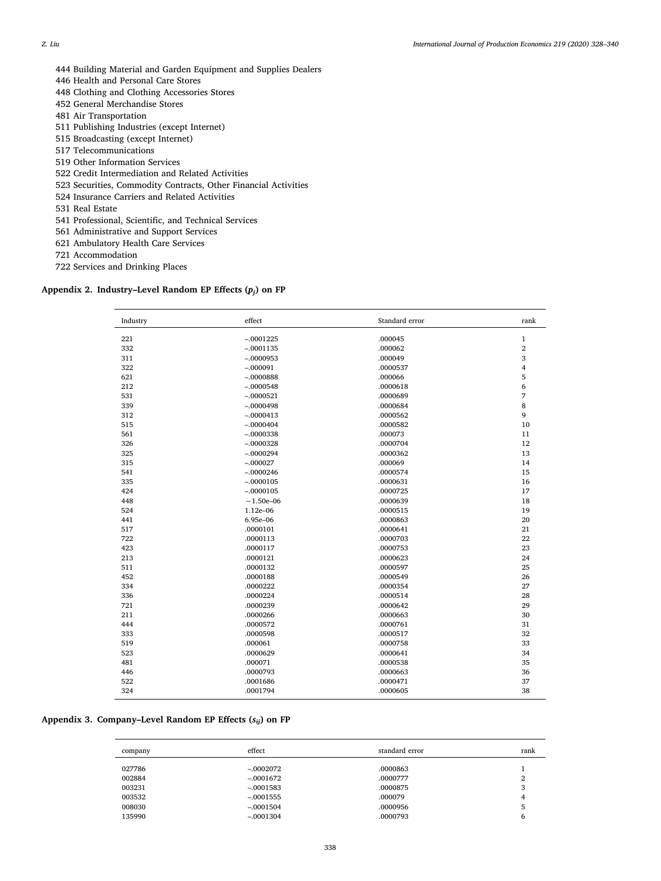444 Building Material and Garden Equipment and Supplies Dealers

- 446 Health and Personal Care Stores
- 448 Clothing and Clothing Accessories Stores
- 452 General Merchandise Stores
- 481 Air Transportation
- 511 Publishing Industries (except Internet)
- 515 Broadcasting (except Internet)
- 517 Telecommunications
- 519 Other Information Services
- 522 Credit Intermediation and Related Activities
- 523 Securities, Commodity Contracts, Other Financial Activities
- 524 Insurance Carriers and Related Activities
- 531 Real Estate
- 541 Professional, Scientific, and Technical Services
- 561 Administrative and Support Services
- 621 Ambulatory Health Care Services
- 721 Accommodation
- 722 Services and Drinking Places

## <span id="page-10-0"></span>**Appendix 2. Industry–Level Random EP Effects (***pj***) on FP**

| Industry | effect      | Standard error | rank           |
|----------|-------------|----------------|----------------|
| 221      | $-.0001225$ | .000045        | $\mathbf 1$    |
| 332      | $-.0001135$ | .000062        | $\,2$          |
| 311      | $-.0000953$ | .000049        | 3              |
| 322      | $-.000091$  | .0000537       | $\overline{4}$ |
| 621      | $-.0000888$ | .000066        | 5              |
| 212      | $-.0000548$ | .0000618       | 6              |
| 531      | $-0000521$  | .0000689       | 7              |
| 339      | $-0000498$  | .0000684       | 8              |
| 312      | $-0000413$  | .0000562       | 9              |
| 515      | $-.0000404$ | .0000582       | 10             |
| 561      | $-.0000338$ | .000073        | 11             |
| 326      | $-0000328$  | .0000704       | 12             |
| 325      | $-0000294$  | .0000362       | 13             |
| 315      | $-.000027$  | .000069        | 14             |
| 541      | $-.0000246$ | .0000574       | 15             |
| 335      | $-.0000105$ | .0000631       | 16             |
| 424      | $-.0000105$ | .0000725       | 17             |
| 448      | $-1.50e-06$ | .0000639       | 18             |
| 524      | 1.12e-06    | .0000515       | 19             |
| 441      | 6.95e-06    | .0000863       | 20             |
| 517      | .0000101    | .0000641       | 21             |
| 722      | .0000113    | .0000703       | 22             |
| 423      | .0000117    | .0000753       | 23             |
| 213      | .0000121    | .0000623       | 24             |
| 511      | .0000132    | .0000597       | 25             |
| 452      | .0000188    | .0000549       | 26             |
| 334      | .0000222    | .0000354       | 27             |
| 336      | .0000224    | .0000514       | 28             |
| 721      | .0000239    | .0000642       | 29             |
| 211      | .0000266    | .0000663       | 30             |
| 444      | .0000572    | .0000761       | 31             |
| 333      | .0000598    | .0000517       | 32             |
| 519      | .000061     | .0000758       | 33             |
| 523      | .0000629    | .0000641       | 34             |
| 481      | .000071     | .0000538       | 35             |
| 446      | .0000793    | .0000663       | 36             |
| 522      | .0001686    | .0000471       | 37             |
| 324      | .0001794    | .0000605       | 38             |

## **Appendix 3. Company–Level Random EP Effects (***sij***) on FP**

| company | effect      | standard error | rank |
|---------|-------------|----------------|------|
| 027786  | $-.0002072$ | .0000863       |      |
| 002884  | $-.0001672$ | .0000777       |      |
| 003231  | $-0001583$  | .0000875       |      |
| 003532  | $-.0001555$ | .000079        |      |
| 008030  | $-.0001504$ | .0000956       | Þ    |
| 135990  | $-.0001304$ | .0000793       | h    |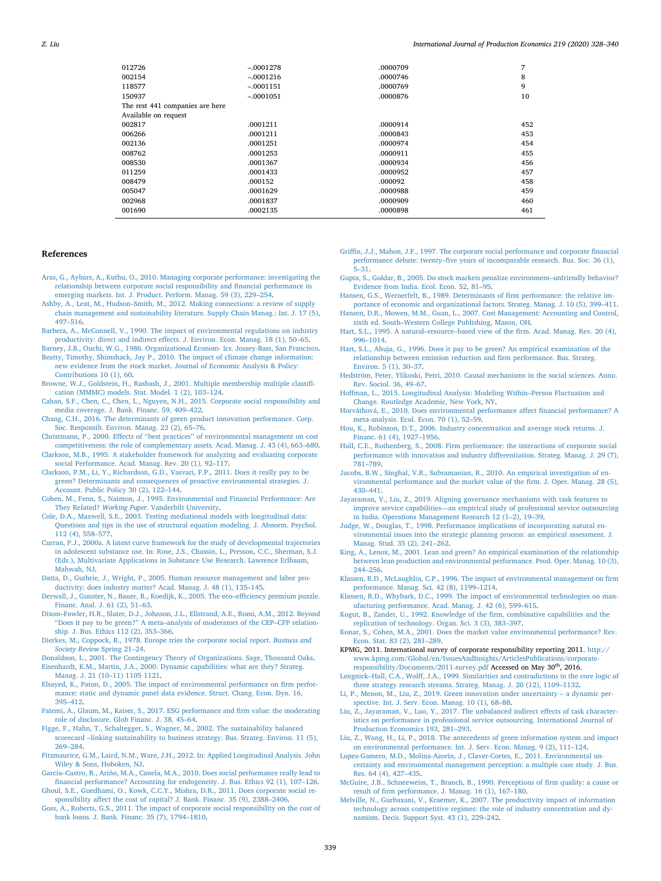| 012726                          | $-.0001278$ | .0000709 | 7   |
|---------------------------------|-------------|----------|-----|
| 002154                          | $-.0001216$ | .0000746 | 8   |
| 118577                          | $-.0001151$ | .0000769 | 9   |
| 150937                          | $-.0001051$ | .0000876 | 10  |
| The rest 441 companies are here |             |          |     |
| Available on request            |             |          |     |
| 002817                          | .0001211    | .0000914 | 452 |
| 006266                          | .0001211    | .0000843 | 453 |
| 002136                          | .0001251    | .0000974 | 454 |
| 008762                          | .0001253    | .0000911 | 455 |
| 008530                          | .0001367    | .0000934 | 456 |
| 011259                          | .0001433    | .0000952 | 457 |
| 008479                          | .000152     | .000092  | 458 |
| 005047                          | .0001629    | .0000988 | 459 |
| 002968                          | .0001837    | .0000909 | 460 |
| 001690                          | .0002135    | .0000898 | 461 |
|                                 |             |          |     |

#### **References**

- <span id="page-11-8"></span>[Aras, G., Aybars, A., Kuthu, O., 2010. Managing corporate performance: investigating the](http://refhub.elsevier.com/S0925-5273(19)30242-7/sref1) [relationship between corporate social responsibility and financial performance in](http://refhub.elsevier.com/S0925-5273(19)30242-7/sref1) [emerging markets. Int. J. Product. Perform. Manag. 59 \(3\), 229–254](http://refhub.elsevier.com/S0925-5273(19)30242-7/sref1).
- <span id="page-11-23"></span>Ashby, A., Leat, M., Hudson-Smith, M., 2012. Making connections: a review of suppl [chain management and sustainability literature. Supply Chain Manag.: Int. J. 17 \(5\),](http://refhub.elsevier.com/S0925-5273(19)30242-7/sref2) [497–516](http://refhub.elsevier.com/S0925-5273(19)30242-7/sref2).
- <span id="page-11-1"></span>[Barbera, A., McConnell, V., 1990. The impact of environmental regulations on industry](http://refhub.elsevier.com/S0925-5273(19)30242-7/sref3) [productivity: direct and indirect effects. J. Environ. Econ. Manag. 18 \(1\), 50–65.](http://refhub.elsevier.com/S0925-5273(19)30242-7/sref3)
- <span id="page-11-21"></span><span id="page-11-7"></span>[Barney, J.B., Ouchi, W.G., 1986. Organizational Econom- Ics. Jossey-Bass, San Francisco.](http://refhub.elsevier.com/S0925-5273(19)30242-7/sref5) [Beatty, Timothy, Shimshack, Jay P., 2010. The impact of climate change information:](http://refhub.elsevier.com/S0925-5273(19)30242-7/sref6) [new evidence from the stock market. Journal of Economic Analysis & Policy:](http://refhub.elsevier.com/S0925-5273(19)30242-7/sref6)

<span id="page-11-33"></span>[Contributions 10 \(1\), 60](http://refhub.elsevier.com/S0925-5273(19)30242-7/sref6). [Browne, W.J., Goldstein, H., Rasbash, J., 2001. Multiple membership multiple classifi-](http://refhub.elsevier.com/S0925-5273(19)30242-7/sref7)

- <span id="page-11-24"></span>[cation \(MMMC\) models. Stat. Model. 1 \(2\), 103–124.](http://refhub.elsevier.com/S0925-5273(19)30242-7/sref7) [Cahan, S.F., Chen, C., Chen, L., Nguyen, N.H., 2015. Corporate social responsibility and](http://refhub.elsevier.com/S0925-5273(19)30242-7/sref8)
- [media coverage. J. Bank. Financ. 59, 409–422.](http://refhub.elsevier.com/S0925-5273(19)30242-7/sref8)
- <span id="page-11-39"></span>[Chang, C.H., 2016. The determinants of green product innovation performance. Corp.](http://refhub.elsevier.com/S0925-5273(19)30242-7/sref9) [Soc. Responsib. Environ. Manag. 23 \(2\), 65–76.](http://refhub.elsevier.com/S0925-5273(19)30242-7/sref9)
- <span id="page-11-6"></span>[Christmann, P., 2000. Effects of ''best practices'' of environmental management on cost](http://refhub.elsevier.com/S0925-5273(19)30242-7/sref10) [competitiveness: the role of complementary assets. Acad. Manag. J. 43 \(4\), 663–680.](http://refhub.elsevier.com/S0925-5273(19)30242-7/sref10) [Clarkson, M.B., 1995. A stakeholder framework for analyzing and evaluating corporate](http://refhub.elsevier.com/S0925-5273(19)30242-7/sref11)
- <span id="page-11-35"></span><span id="page-11-3"></span>[social Performance. Acad. Manag. Rev. 20 \(1\), 92–117.](http://refhub.elsevier.com/S0925-5273(19)30242-7/sref11) [Clarkson, P.M., Li, Y., Richardson, G.D., Vasvari, F.P., 2011. Does it really pay to be](http://refhub.elsevier.com/S0925-5273(19)30242-7/sref12) [green? Determinants and consequences of proactive environmental strategies. J.](http://refhub.elsevier.com/S0925-5273(19)30242-7/sref12) [Account. Public Policy 30 \(2\), 122–144](http://refhub.elsevier.com/S0925-5273(19)30242-7/sref12).
- <span id="page-11-10"></span>[Cohen, M., Fenn, S., Naimon, J., 1995. Environmental and Financial Performance: Are](http://refhub.elsevier.com/S0925-5273(19)30242-7/sref13) They Related? *Working Paper*[. Vanderbilt University](http://refhub.elsevier.com/S0925-5273(19)30242-7/sref13).
- <span id="page-11-30"></span>[Cole, D.A., Maxwell, S.E., 2003. Testing mediational models with longitudinal data:](http://refhub.elsevier.com/S0925-5273(19)30242-7/sref14) [Questions and tips in the use of structural equation modeling. J. Abnorm. Psychol.](http://refhub.elsevier.com/S0925-5273(19)30242-7/sref14) [112 \(4\), 558–577](http://refhub.elsevier.com/S0925-5273(19)30242-7/sref14).
- [Curran, P.J., 2000a. A latent curve framework for the study of developmental trajectories](http://refhub.elsevier.com/S0925-5273(19)30242-7/sref15) [in adolescent substance use. In: Rose, J.S., Chassin, L., Presson, C.C., Sherman, S.J.](http://refhub.elsevier.com/S0925-5273(19)30242-7/sref15) [\(Eds.\), Multivariate Applications in Substance Use Research. Lawrence Erlbaum,](http://refhub.elsevier.com/S0925-5273(19)30242-7/sref15) [Mahwah, NJ.](http://refhub.elsevier.com/S0925-5273(19)30242-7/sref15)
- <span id="page-11-22"></span>[Datta, D., Guthrie, J., Wright, P., 2005. Human resource management and labor pro](http://refhub.elsevier.com/S0925-5273(19)30242-7/sref17)[ductivity: does industry matter? Acad. Manag. J. 48 \(1\), 135–145](http://refhub.elsevier.com/S0925-5273(19)30242-7/sref17).
- <span id="page-11-12"></span>[Derwall, J., Gunster, N., Bauer, R., Koedijk, K., 2005. The eco–efficiency premium puzzle.](http://refhub.elsevier.com/S0925-5273(19)30242-7/sref18) [Financ. Anal. J. 61 \(2\), 51–63](http://refhub.elsevier.com/S0925-5273(19)30242-7/sref18).
- <span id="page-11-37"></span>[Dixon–Fowler, H.R., Slater, D.J., Johnson, J.L., Ellstrand, A.E., Romi, A.M., 2012. Beyond](http://refhub.elsevier.com/S0925-5273(19)30242-7/sref19) ["Does it pay to be green?" A meta–analysis of moderators of the CEP–CFP relation](http://refhub.elsevier.com/S0925-5273(19)30242-7/sref19)[ship. J. Bus. Ethics 112 \(2\), 353–366](http://refhub.elsevier.com/S0925-5273(19)30242-7/sref19).
- <span id="page-11-36"></span>[Dierkes, M., Coppock, R., 1978. Europe tries the corporate social report.](http://refhub.elsevier.com/S0925-5273(19)30242-7/sref20) *Business and [Society Review](http://refhub.elsevier.com/S0925-5273(19)30242-7/sref20)* Spring 21–24.
- <span id="page-11-20"></span><span id="page-11-18"></span>[Donaldson, L., 2001. The Contingency Theory of Organizations. Sage, Thousand Oaks](http://refhub.elsevier.com/S0925-5273(19)30242-7/sref21). [Eisenhardt, K.M., Martin, J.A., 2000. Dynamic capabilities: what are they? Strateg.](http://refhub.elsevier.com/S0925-5273(19)30242-7/sref22) [Manag. J. 21 \(10–11\) 1105 1121](http://refhub.elsevier.com/S0925-5273(19)30242-7/sref22).
- <span id="page-11-11"></span>[Elsayed, K., Paton, D., 2005. The impact of environmental performance on firm perfor](http://refhub.elsevier.com/S0925-5273(19)30242-7/sref23)[mance: static and dynamic panel data evidence. Struct. Chang. Econ. Dyn. 16,](http://refhub.elsevier.com/S0925-5273(19)30242-7/sref23) [395–412](http://refhub.elsevier.com/S0925-5273(19)30242-7/sref23).
- [Fatemi, A., Glaum, M., Kaiser, S., 2017. ESG performance and firm value: the moderating](http://refhub.elsevier.com/S0925-5273(19)30242-7/sref24) [role of disclosure. Glob Financ. J. 38, 45–64](http://refhub.elsevier.com/S0925-5273(19)30242-7/sref24).
- <span id="page-11-34"></span>[Figge, F., Hahn, T., Schaltegger, S., Wagner, M., 2002. The sustainability balanced](http://refhub.elsevier.com/S0925-5273(19)30242-7/sref25) [scorecard –linking sustainability to business strategy. Bus. Strateg. Environ. 11 \(5\),](http://refhub.elsevier.com/S0925-5273(19)30242-7/sref25) [269–284](http://refhub.elsevier.com/S0925-5273(19)30242-7/sref25).
- <span id="page-11-28"></span>[Fitzmaurice, G.M., Laird, N.M., Ware, J.H., 2012. In: Applied Longitudinal Analysis. John](http://refhub.elsevier.com/S0925-5273(19)30242-7/optCHiE40KFH7) [Wiley & Sons, Hoboken, NJ](http://refhub.elsevier.com/S0925-5273(19)30242-7/optCHiE40KFH7).
- <span id="page-11-32"></span>[Garcia–Castro, R., Ariño, M.A., Canela, M.A., 2010. Does social performance really lead to](http://refhub.elsevier.com/S0925-5273(19)30242-7/sref26) [financial performance? Accounting for endogeneity. J. Bus. Ethics 92 \(1\), 107–126](http://refhub.elsevier.com/S0925-5273(19)30242-7/sref26). [Ghoul, S.E., Guedhami, O., Kowk, C.C.Y., Mishra, D.R., 2011. Does corporate social re-](http://refhub.elsevier.com/S0925-5273(19)30242-7/sref27)

[sponsibility affect the cost of capital? J. Bank. Financ. 35 \(9\), 2388–2406](http://refhub.elsevier.com/S0925-5273(19)30242-7/sref27).

<span id="page-11-31"></span>[Goss, A., Roberts, G.S., 2011. The impact of corporate social responsibility on the cost of](http://refhub.elsevier.com/S0925-5273(19)30242-7/sref28) [bank loans. J. Bank. Financ. 35 \(7\), 1794–1810](http://refhub.elsevier.com/S0925-5273(19)30242-7/sref28).

- [Griffin, J.J., Mahon, J.F., 1997. The corporate social performance and corporate financial](http://refhub.elsevier.com/S0925-5273(19)30242-7/sref29) [performance debate: twenty–five years of incomparable research. Bus. Soc. 36 \(1\),](http://refhub.elsevier.com/S0925-5273(19)30242-7/sref29)  $5 - 31$ .
- [Gupta, S., Goldar, B., 2005. Do stock markets penalize environment–unfriendly behavior?](http://refhub.elsevier.com/S0925-5273(19)30242-7/sref30) [Evidence from India. Ecol. Econ. 52, 81–95](http://refhub.elsevier.com/S0925-5273(19)30242-7/sref30).
- [Hansen, G.S., Wernerfelt, B., 1989. Determinants of firm performance: the relative im](http://refhub.elsevier.com/S0925-5273(19)30242-7/sref31)[portance of economic and organizational factors. Strateg. Manag. J. 10 \(5\), 399–411.](http://refhub.elsevier.com/S0925-5273(19)30242-7/sref31)
- [Hansen, D.R., Mowen, M.M., Guan, L., 2007. Cost Management: Accounting and Control,](http://refhub.elsevier.com/S0925-5273(19)30242-7/sref32) [sixth ed. South–Western College Publishing, Mason, OH.](http://refhub.elsevier.com/S0925-5273(19)30242-7/sref32)
- <span id="page-11-4"></span>[Hart, S.L., 1995. A natural–resource–based view of the firm. Acad. Manag. Rev. 20 \(4\),](http://refhub.elsevier.com/S0925-5273(19)30242-7/sref33) [996–1014.](http://refhub.elsevier.com/S0925-5273(19)30242-7/sref33)
- <span id="page-11-25"></span>[Hart, S.L., Ahuja, G., 1996. Does it pay to be green? An empirical examination of the](http://refhub.elsevier.com/S0925-5273(19)30242-7/sref34) [relationship between emission reduction and firm performance. Bus. Strateg.](http://refhub.elsevier.com/S0925-5273(19)30242-7/sref34) [Environ. 5 \(1\), 30–37](http://refhub.elsevier.com/S0925-5273(19)30242-7/sref34).
- <span id="page-11-17"></span>[Hedström, Peter, Ylikoski, Petri, 2010. Causal mechanisms in the social sciences. Annu.](http://refhub.elsevier.com/S0925-5273(19)30242-7/sref35) [Rev. Sociol. 36, 49–67.](http://refhub.elsevier.com/S0925-5273(19)30242-7/sref35)
- <span id="page-11-29"></span>[Hoffman, L., 2015. Longitudinal Analysis: Modeling Within–Person Fluctuation and](http://refhub.elsevier.com/S0925-5273(19)30242-7/sref36) [Change. Routledge Academic, New York, NY](http://refhub.elsevier.com/S0925-5273(19)30242-7/sref36).
- <span id="page-11-5"></span>[Horváthová, E., 2010. Does environmental performance affect financial performance? A](http://refhub.elsevier.com/S0925-5273(19)30242-7/sref37) [meta-analysis. Ecol. Econ. 70 \(1\), 52–59.](http://refhub.elsevier.com/S0925-5273(19)30242-7/sref37)
- <span id="page-11-27"></span>[Hou, K., Robinson, D.T., 2006. Industry concentration and average stock returns. J.](http://refhub.elsevier.com/S0925-5273(19)30242-7/sref38) [Financ. 61 \(4\), 1927–1956.](http://refhub.elsevier.com/S0925-5273(19)30242-7/sref38)
- <span id="page-11-14"></span>[Hull, C.E., Rothenberg, S., 2008. Firm performance: the interactions of corporate social](http://refhub.elsevier.com/S0925-5273(19)30242-7/sref40) [performance with innovation and industry differentiation. Strateg. Manag. J. 29 \(7\),](http://refhub.elsevier.com/S0925-5273(19)30242-7/sref40) [781–789](http://refhub.elsevier.com/S0925-5273(19)30242-7/sref40).
- <span id="page-11-9"></span>[Jacobs, B.W., Singhal, V.R., Subramanian, R., 2010. An empirical investigation of en](http://refhub.elsevier.com/S0925-5273(19)30242-7/sref41)[vironmental performance and the market value of the firm. J. Oper. Manag. 28 \(5\),](http://refhub.elsevier.com/S0925-5273(19)30242-7/sref41) [430–441](http://refhub.elsevier.com/S0925-5273(19)30242-7/sref41).
- <span id="page-11-38"></span>[Jayaraman, V., Liu, Z., 2019. Aligning governance mechanisms with task features to](http://refhub.elsevier.com/S0925-5273(19)30242-7/opt2qROML6AdT) [improve service capabilities—an empirical study of professional service outsourcing](http://refhub.elsevier.com/S0925-5273(19)30242-7/opt2qROML6AdT) [in India. Operations Management Research 12 \(1–2\), 19–39](http://refhub.elsevier.com/S0925-5273(19)30242-7/opt2qROML6AdT).
- [Judge, W., Douglas, T., 1998. Performance implications of incorporating natural en](http://refhub.elsevier.com/S0925-5273(19)30242-7/sref42)[vironmental issues into the strategic planning process: an empirical assessment. J.](http://refhub.elsevier.com/S0925-5273(19)30242-7/sref42) [Manag. Stud. 35 \(2\), 241–262](http://refhub.elsevier.com/S0925-5273(19)30242-7/sref42).
- <span id="page-11-15"></span>[King, A., Lenox, M., 2001. Lean and green? An empirical examination of the relationship](http://refhub.elsevier.com/S0925-5273(19)30242-7/sref43) [between lean production and environmental performance. Prod. Oper. Manag. 10 \(3\),](http://refhub.elsevier.com/S0925-5273(19)30242-7/sref43) [244–256](http://refhub.elsevier.com/S0925-5273(19)30242-7/sref43).
- <span id="page-11-16"></span>[Klassen, R.D., McLaughlin, C.P., 1996. The impact of environmental management on firm](http://refhub.elsevier.com/S0925-5273(19)30242-7/sref44) [performance. Manag. Sci. 42 \(8\), 1199–1214.](http://refhub.elsevier.com/S0925-5273(19)30242-7/sref44)
- [Klassen, R.D., Whybark, D.C., 1999. The impact of environmental technologies on man](http://refhub.elsevier.com/S0925-5273(19)30242-7/sref45)[ufacturing performance. Acad. Manag. J. 42 \(6\), 599–615.](http://refhub.elsevier.com/S0925-5273(19)30242-7/sref45)
- <span id="page-11-19"></span>[Kogut, B., Zander, U., 1992. Knowledge of the firm, combinative capabilities and the](http://refhub.elsevier.com/S0925-5273(19)30242-7/sref46) [replication of technology. Organ. Sci. 3 \(3\), 383–397.](http://refhub.elsevier.com/S0925-5273(19)30242-7/sref46)

<span id="page-11-2"></span>[Konar, S., Cohen, M.A., 2001. Does the market value environmental performance? Rev.](http://refhub.elsevier.com/S0925-5273(19)30242-7/sref47) [Econ. Stat. 83 \(2\), 281–289](http://refhub.elsevier.com/S0925-5273(19)30242-7/sref47).

- <span id="page-11-0"></span>KPMG, 2011. International survey of corporate responsibility reporting 2011. [http://](http://www.kpmg.com/Global/en/IssuesAndInsights/ArticlesPublications/corporate-responsibility/Documents/2011-survey.pdf) [www.kpmg.com/Global/en/IssuesAndInsights/ArticlesPublications/corporate](http://www.kpmg.com/Global/en/IssuesAndInsights/ArticlesPublications/corporate-responsibility/Documents/2011-survey.pdf)[responsibility/Documents/2011-survey.pdf](http://www.kpmg.com/Global/en/IssuesAndInsights/ArticlesPublications/corporate-responsibility/Documents/2011-survey.pdf) Accessed on May 30<sup>th</sup>, 2016.
- [Lengnick–Hall, C.A., Wolff, J.A., 1999. Similarities and contradictions in the core logic of](http://refhub.elsevier.com/S0925-5273(19)30242-7/sref49) [three strategy research streams. Strateg. Manag. J. 20 \(12\), 1109–1132.](http://refhub.elsevier.com/S0925-5273(19)30242-7/sref49)
- [Li, P., Menon, M., Liu, Z., 2019. Green innovation under uncertainty a dynamic per](http://refhub.elsevier.com/S0925-5273(19)30242-7/sref50)[spective. Int. J. Serv. Econ. Manag. 10 \(1\), 68–88](http://refhub.elsevier.com/S0925-5273(19)30242-7/sref50).
- <span id="page-11-40"></span>[Liu, Z., Jayaraman, V., Luo, Y., 2017. The unbalanced indirect effects of task character](http://refhub.elsevier.com/S0925-5273(19)30242-7/optbfiyxAQXfv)[istics on performance in professional service outsourcing. International Journal of](http://refhub.elsevier.com/S0925-5273(19)30242-7/optbfiyxAQXfv) [Production Economics 193, 281–293](http://refhub.elsevier.com/S0925-5273(19)30242-7/optbfiyxAQXfv).
- [Liu, Z., Wang, H., Li, P., 2018. The antecedents of green information system and impact](http://refhub.elsevier.com/S0925-5273(19)30242-7/sref51) [on environmental performance. Int. J. Serv. Econ. Manag. 9 \(2\), 111–124.](http://refhub.elsevier.com/S0925-5273(19)30242-7/sref51)
- <span id="page-11-41"></span>[Lopez-Gamero, M.D., Molina-Azorin, J., Claver-Cortes, E., 2011. Environmental un](http://refhub.elsevier.com/S0925-5273(19)30242-7/sref52)[certainty and environmental management perception: a multiple case study. J. Bus.](http://refhub.elsevier.com/S0925-5273(19)30242-7/sref52) [Res. 64 \(4\), 427–435.](http://refhub.elsevier.com/S0925-5273(19)30242-7/sref52)
- <span id="page-11-13"></span>[McGuire, J.B., Schneeweiss, T., Branch, B., 1990. Perceptions of firm quality: a cause or](http://refhub.elsevier.com/S0925-5273(19)30242-7/sref53) [result of firm performance. J. Manag. 16 \(1\), 167–180](http://refhub.elsevier.com/S0925-5273(19)30242-7/sref53).
- <span id="page-11-26"></span>[Melville, N., Gurbaxani, V., Kraemer, K., 2007. The productivity impact of information](http://refhub.elsevier.com/S0925-5273(19)30242-7/sref54) [technology across competitive regimes: the role of industry concentration and dy](http://refhub.elsevier.com/S0925-5273(19)30242-7/sref54)[namism. Decis. Support Syst. 43 \(1\), 229–242.](http://refhub.elsevier.com/S0925-5273(19)30242-7/sref54)